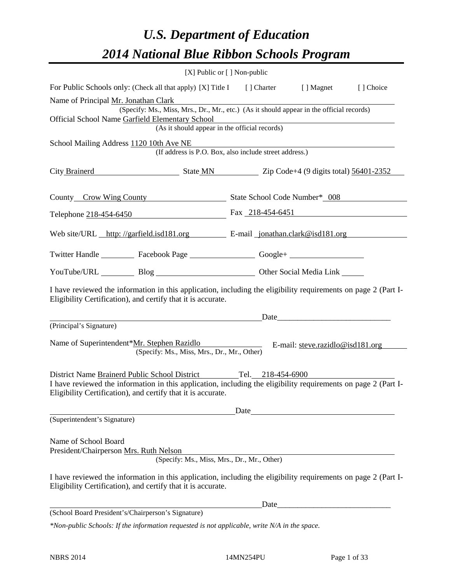# *U.S. Department of Education 2014 National Blue Ribbon Schools Program*

|                                                                                                                                                                                                                                                                                                                                 | [X] Public or [] Non-public |                                                        |                                                                                                                                                                                                                               |           |
|---------------------------------------------------------------------------------------------------------------------------------------------------------------------------------------------------------------------------------------------------------------------------------------------------------------------------------|-----------------------------|--------------------------------------------------------|-------------------------------------------------------------------------------------------------------------------------------------------------------------------------------------------------------------------------------|-----------|
| For Public Schools only: (Check all that apply) [X] Title I [] Charter [] Magnet                                                                                                                                                                                                                                                |                             |                                                        |                                                                                                                                                                                                                               | [] Choice |
| Name of Principal Mr. Jonathan Clark<br>(Specify: Ms., Miss, Mrs., Dr., Mr., etc.) (As it should appear in the official records)<br>Official School Name Garfield Elementary School                                                                                                                                             |                             |                                                        | Elementary School<br>(As it should appear in the official records)                                                                                                                                                            |           |
| School Mailing Address 1120 10th Ave NE                                                                                                                                                                                                                                                                                         |                             | (If address is P.O. Box, also include street address.) |                                                                                                                                                                                                                               |           |
| City Brainerd State MN Zip Code+4 (9 digits total) 56401-2352                                                                                                                                                                                                                                                                   |                             |                                                        |                                                                                                                                                                                                                               |           |
| County Crow Wing County State School Code Number* 008                                                                                                                                                                                                                                                                           |                             |                                                        |                                                                                                                                                                                                                               |           |
| Telephone 218-454-6450 Fax 218-454-6451                                                                                                                                                                                                                                                                                         |                             |                                                        |                                                                                                                                                                                                                               |           |
| Web site/URL http://garfield.isd181.org E-mail jonathan.clark@isd181.org                                                                                                                                                                                                                                                        |                             |                                                        |                                                                                                                                                                                                                               |           |
| Twitter Handle ___________ Facebook Page ___________________ Google+ ____________                                                                                                                                                                                                                                               |                             |                                                        |                                                                                                                                                                                                                               |           |
| YouTube/URL Blog Blog Cher Social Media Link                                                                                                                                                                                                                                                                                    |                             |                                                        |                                                                                                                                                                                                                               |           |
| I have reviewed the information in this application, including the eligibility requirements on page 2 (Part I-<br>Eligibility Certification), and certify that it is accurate.                                                                                                                                                  |                             |                                                        |                                                                                                                                                                                                                               |           |
| (Principal's Signature)                                                                                                                                                                                                                                                                                                         |                             |                                                        | Date and the same state of the same state of the same state of the same state of the same state of the same state of the same state of the same state of the same state of the same state of the same state of the same state |           |
| Name of Superintendent*Mr. Stephen Razidlo<br>(Specify: Ms., Miss, Mrs., Dr., Mr., Other)                                                                                                                                                                                                                                       |                             |                                                        | E-mail: $\frac{\text{steve} \cdot \text{razidlo@} \cdot \text{sd181.org}}{2}$                                                                                                                                                 |           |
| District Name Brainerd Public School District<br>I have reviewed the information in this application, including the eligibility requirements on page 2 (Part I-<br>Eligibility Certification), and certify that it is accurate.                                                                                                 |                             | Tel. 218-454-6900                                      |                                                                                                                                                                                                                               |           |
|                                                                                                                                                                                                                                                                                                                                 |                             | Date                                                   |                                                                                                                                                                                                                               |           |
| (Superintendent's Signature)<br>Name of School Board<br>President/Chairperson Mrs. Ruth Nelson<br>(Specify: Ms., Miss, Mrs., Dr., Mr., Other)<br>I have reviewed the information in this application, including the eligibility requirements on page 2 (Part I-<br>Eligibility Certification), and certify that it is accurate. |                             |                                                        |                                                                                                                                                                                                                               |           |
|                                                                                                                                                                                                                                                                                                                                 |                             | Date                                                   |                                                                                                                                                                                                                               |           |
| (School Board President's/Chairperson's Signature)                                                                                                                                                                                                                                                                              |                             |                                                        |                                                                                                                                                                                                                               |           |
| $*$ Non-public Schools: If the information requested is not applicable, write $N/A$ in the space.                                                                                                                                                                                                                               |                             |                                                        |                                                                                                                                                                                                                               |           |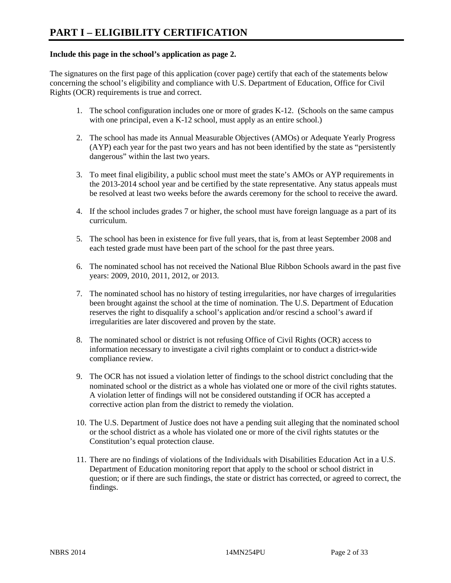# **Include this page in the school's application as page 2.**

The signatures on the first page of this application (cover page) certify that each of the statements below concerning the school's eligibility and compliance with U.S. Department of Education, Office for Civil Rights (OCR) requirements is true and correct.

- 1. The school configuration includes one or more of grades K-12. (Schools on the same campus with one principal, even a K-12 school, must apply as an entire school.)
- 2. The school has made its Annual Measurable Objectives (AMOs) or Adequate Yearly Progress (AYP) each year for the past two years and has not been identified by the state as "persistently dangerous" within the last two years.
- 3. To meet final eligibility, a public school must meet the state's AMOs or AYP requirements in the 2013-2014 school year and be certified by the state representative. Any status appeals must be resolved at least two weeks before the awards ceremony for the school to receive the award.
- 4. If the school includes grades 7 or higher, the school must have foreign language as a part of its curriculum.
- 5. The school has been in existence for five full years, that is, from at least September 2008 and each tested grade must have been part of the school for the past three years.
- 6. The nominated school has not received the National Blue Ribbon Schools award in the past five years: 2009, 2010, 2011, 2012, or 2013.
- 7. The nominated school has no history of testing irregularities, nor have charges of irregularities been brought against the school at the time of nomination. The U.S. Department of Education reserves the right to disqualify a school's application and/or rescind a school's award if irregularities are later discovered and proven by the state.
- 8. The nominated school or district is not refusing Office of Civil Rights (OCR) access to information necessary to investigate a civil rights complaint or to conduct a district-wide compliance review.
- 9. The OCR has not issued a violation letter of findings to the school district concluding that the nominated school or the district as a whole has violated one or more of the civil rights statutes. A violation letter of findings will not be considered outstanding if OCR has accepted a corrective action plan from the district to remedy the violation.
- 10. The U.S. Department of Justice does not have a pending suit alleging that the nominated school or the school district as a whole has violated one or more of the civil rights statutes or the Constitution's equal protection clause.
- 11. There are no findings of violations of the Individuals with Disabilities Education Act in a U.S. Department of Education monitoring report that apply to the school or school district in question; or if there are such findings, the state or district has corrected, or agreed to correct, the findings.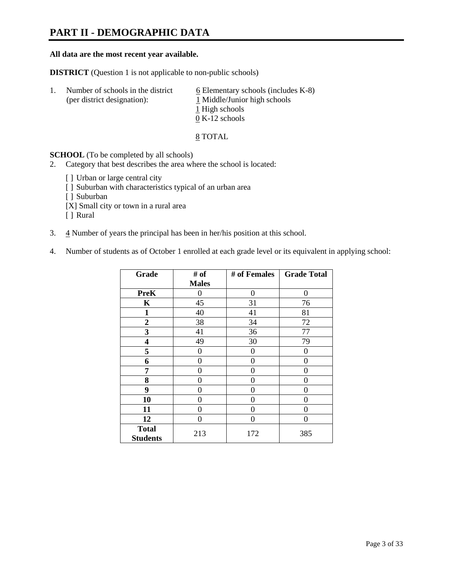# **PART II - DEMOGRAPHIC DATA**

### **All data are the most recent year available.**

**DISTRICT** (Question 1 is not applicable to non-public schools)

| -1. | Number of schools in the district<br>(per district designation): | $6$ Elementary schools (includes K-8)<br>1 Middle/Junior high schools |
|-----|------------------------------------------------------------------|-----------------------------------------------------------------------|
|     |                                                                  | 1 High schools                                                        |
|     |                                                                  | $0 K-12$ schools                                                      |

8 TOTAL

**SCHOOL** (To be completed by all schools)

- 2. Category that best describes the area where the school is located:
	- [] Urban or large central city
	- [ ] Suburban with characteristics typical of an urban area
	- [ ] Suburban
	- [X] Small city or town in a rural area
	- [ ] Rural
- 3.  $\frac{4}{3}$  Number of years the principal has been in her/his position at this school.
- 4. Number of students as of October 1 enrolled at each grade level or its equivalent in applying school:

| Grade           | # of         | # of Females | <b>Grade Total</b> |
|-----------------|--------------|--------------|--------------------|
|                 | <b>Males</b> |              |                    |
| <b>PreK</b>     | 0            | $\theta$     | 0                  |
| K               | 45           | 31           | 76                 |
| $\mathbf{1}$    | 40           | 41           | 81                 |
| $\overline{2}$  | 38           | 34           | 72                 |
| 3               | 41           | 36           | 77                 |
| 4               | 49           | 30           | 79                 |
| 5               | 0            | $\theta$     | 0                  |
| 6               | 0            | 0            | 0                  |
| 7               | 0            | 0            | 0                  |
| 8               | 0            | 0            | 0                  |
| 9               | 0            | 0            | 0                  |
| 10              | 0            | 0            | 0                  |
| 11              | 0            | 0            | 0                  |
| 12              | 0            | 0            | 0                  |
| <b>Total</b>    | 213          | 172          | 385                |
| <b>Students</b> |              |              |                    |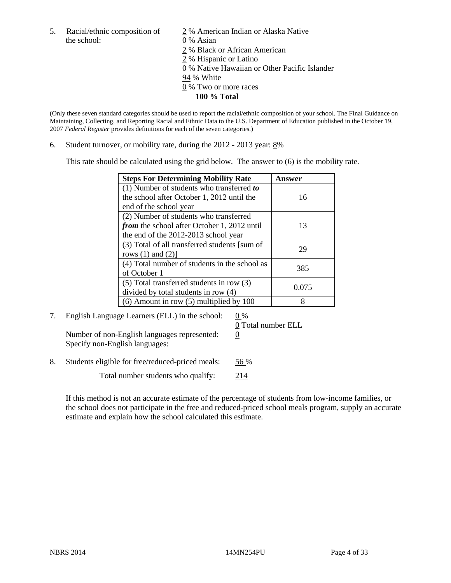the school: 0 % Asian

5. Racial/ethnic composition of  $\frac{2}{9}$ % American Indian or Alaska Native 2 % Black or African American 2 % Hispanic or Latino 0 % Native Hawaiian or Other Pacific Islander 94 % White 0 % Two or more races **100 % Total** 

(Only these seven standard categories should be used to report the racial/ethnic composition of your school. The Final Guidance on Maintaining, Collecting, and Reporting Racial and Ethnic Data to the U.S. Department of Education published in the October 19, 2007 *Federal Register* provides definitions for each of the seven categories.)

6. Student turnover, or mobility rate, during the  $2012 - 2013$  year:  $8\%$ 

This rate should be calculated using the grid below. The answer to (6) is the mobility rate.

| <b>Steps For Determining Mobility Rate</b>         | Answer |
|----------------------------------------------------|--------|
| (1) Number of students who transferred to          |        |
| the school after October 1, 2012 until the         | 16     |
| end of the school year                             |        |
| (2) Number of students who transferred             |        |
| <i>from</i> the school after October 1, 2012 until | 13     |
| the end of the 2012-2013 school year               |        |
| (3) Total of all transferred students [sum of      | 29     |
| rows $(1)$ and $(2)$ ]                             |        |
| (4) Total number of students in the school as      | 385    |
| of October 1                                       |        |
| $(5)$ Total transferred students in row $(3)$      | 0.075  |
| divided by total students in row (4)               |        |
| $(6)$ Amount in row $(5)$ multiplied by 100        | 8      |

7. English Language Learners (ELL) in the school:  $0\%$ Number of non-English languages represented:  $0$ Specify non-English languages:

0 Total number ELL

8. Students eligible for free/reduced-priced meals: 56 %

Total number students who qualify: 214

If this method is not an accurate estimate of the percentage of students from low-income families, or the school does not participate in the free and reduced-priced school meals program, supply an accurate estimate and explain how the school calculated this estimate.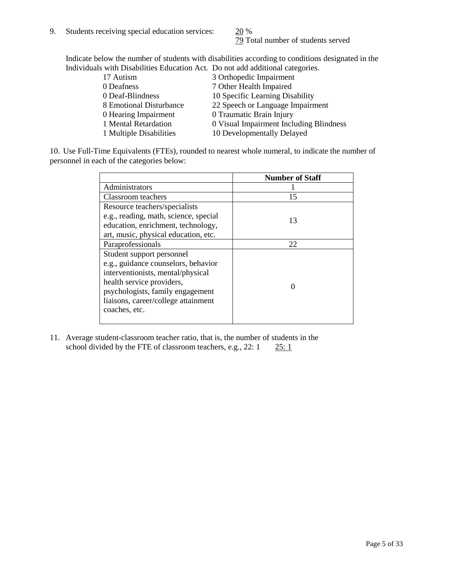79 Total number of students served

Indicate below the number of students with disabilities according to conditions designated in the Individuals with Disabilities Education Act. Do not add additional categories.

| THE RESIDENCE IN THE RESIDENCE INTERVERSION CONTRACTS TO A REFORM AND ANOTHER AND MOVED AND RESIDENCE. |                                         |
|--------------------------------------------------------------------------------------------------------|-----------------------------------------|
| 17 Autism                                                                                              | 3 Orthopedic Impairment                 |
| 0 Deafness                                                                                             | 7 Other Health Impaired                 |
| 0 Deaf-Blindness                                                                                       | 10 Specific Learning Disability         |
| 8 Emotional Disturbance                                                                                | 22 Speech or Language Impairment        |
| 0 Hearing Impairment                                                                                   | 0 Traumatic Brain Injury                |
| 1 Mental Retardation                                                                                   | 0 Visual Impairment Including Blindness |
| 1 Multiple Disabilities                                                                                | 10 Developmentally Delayed              |
|                                                                                                        |                                         |

10. Use Full-Time Equivalents (FTEs), rounded to nearest whole numeral, to indicate the number of personnel in each of the categories below:

|                                       | <b>Number of Staff</b> |
|---------------------------------------|------------------------|
| Administrators                        |                        |
| Classroom teachers                    | 15                     |
| Resource teachers/specialists         |                        |
| e.g., reading, math, science, special | 13                     |
| education, enrichment, technology,    |                        |
| art, music, physical education, etc.  |                        |
| Paraprofessionals                     | 22                     |
| Student support personnel             |                        |
| e.g., guidance counselors, behavior   |                        |
| interventionists, mental/physical     |                        |
| health service providers,             |                        |
| psychologists, family engagement      |                        |
| liaisons, career/college attainment   |                        |
| coaches, etc.                         |                        |
|                                       |                        |

11. Average student-classroom teacher ratio, that is, the number of students in the school divided by the FTE of classroom teachers, e.g.,  $22: 1 \quad 25: 1$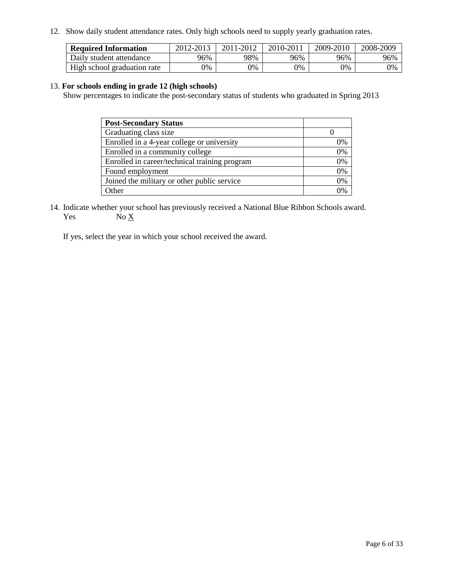12. Show daily student attendance rates. Only high schools need to supply yearly graduation rates.

| <b>Required Information</b> | 2012-2013 | 2011-2012 | 2010-2011 | 2009-2010 | 2008-2009 |
|-----------------------------|-----------|-----------|-----------|-----------|-----------|
| Daily student attendance    | 96%       | 98%       | 96%       | 96%       | 96%       |
| High school graduation rate | 0%        | 9%        | 0%        | 0%        | 0%        |

# 13. **For schools ending in grade 12 (high schools)**

Show percentages to indicate the post-secondary status of students who graduated in Spring 2013

| <b>Post-Secondary Status</b>                  |                |
|-----------------------------------------------|----------------|
| Graduating class size                         |                |
| Enrolled in a 4-year college or university    | 0%             |
| Enrolled in a community college               | 0%             |
| Enrolled in career/technical training program | 0%             |
| Found employment                              | 0%             |
| Joined the military or other public service   | 0%             |
| <b>Other</b>                                  | $\gamma_{0/2}$ |

14. Indicate whether your school has previously received a National Blue Ribbon Schools award. Yes  $No \underline{X}$ 

If yes, select the year in which your school received the award.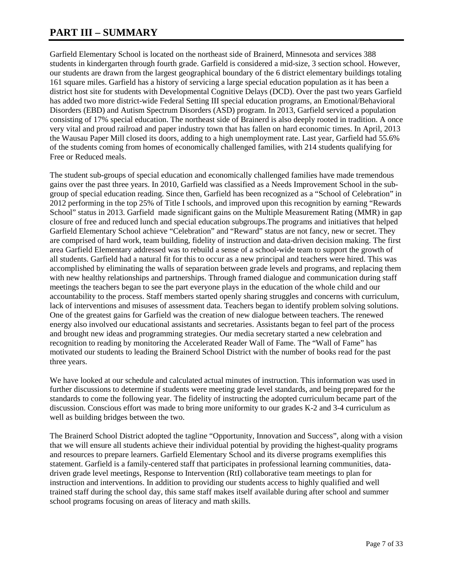# **PART III – SUMMARY**

Garfield Elementary School is located on the northeast side of Brainerd, Minnesota and services 388 students in kindergarten through fourth grade. Garfield is considered a mid-size, 3 section school. However, our students are drawn from the largest geographical boundary of the 6 district elementary buildings totaling 161 square miles. Garfield has a history of servicing a large special education population as it has been a district host site for students with Developmental Cognitive Delays (DCD). Over the past two years Garfield has added two more district-wide Federal Setting III special education programs, an Emotional/Behavioral Disorders (EBD) and Autism Spectrum Disorders (ASD) program. In 2013, Garfield serviced a population consisting of 17% special education. The northeast side of Brainerd is also deeply rooted in tradition. A once very vital and proud railroad and paper industry town that has fallen on hard economic times. In April, 2013 the Wausau Paper Mill closed its doors, adding to a high unemployment rate. Last year, Garfield had 55.6% of the students coming from homes of economically challenged families, with 214 students qualifying for Free or Reduced meals.

The student sub-groups of special education and economically challenged families have made tremendous gains over the past three years. In 2010, Garfield was classified as a Needs Improvement School in the subgroup of special education reading. Since then, Garfield has been recognized as a "School of Celebration" in 2012 performing in the top 25% of Title I schools, and improved upon this recognition by earning "Rewards School" status in 2013. Garfield made significant gains on the Multiple Measurement Rating (MMR) in gap closure of free and reduced lunch and special education subgroups.The programs and initiatives that helped Garfield Elementary School achieve "Celebration" and "Reward" status are not fancy, new or secret. They are comprised of hard work, team building, fidelity of instruction and data-driven decision making. The first area Garfield Elementary addressed was to rebuild a sense of a school-wide team to support the growth of all students. Garfield had a natural fit for this to occur as a new principal and teachers were hired. This was accomplished by eliminating the walls of separation between grade levels and programs, and replacing them with new healthy relationships and partnerships. Through framed dialogue and communication during staff meetings the teachers began to see the part everyone plays in the education of the whole child and our accountability to the process. Staff members started openly sharing struggles and concerns with curriculum, lack of interventions and misuses of assessment data. Teachers began to identify problem solving solutions. One of the greatest gains for Garfield was the creation of new dialogue between teachers. The renewed energy also involved our educational assistants and secretaries. Assistants began to feel part of the process and brought new ideas and programming strategies. Our media secretary started a new celebration and recognition to reading by monitoring the Accelerated Reader Wall of Fame. The "Wall of Fame" has motivated our students to leading the Brainerd School District with the number of books read for the past three years.

We have looked at our schedule and calculated actual minutes of instruction. This information was used in further discussions to determine if students were meeting grade level standards, and being prepared for the standards to come the following year. The fidelity of instructing the adopted curriculum became part of the discussion. Conscious effort was made to bring more uniformity to our grades K-2 and 3-4 curriculum as well as building bridges between the two.

The Brainerd School District adopted the tagline "Opportunity, Innovation and Success", along with a vision that we will ensure all students achieve their individual potential by providing the highest-quality programs and resources to prepare learners. Garfield Elementary School and its diverse programs exemplifies this statement. Garfield is a family-centered staff that participates in professional learning communities, datadriven grade level meetings, Response to Intervention (RtI) collaborative team meetings to plan for instruction and interventions. In addition to providing our students access to highly qualified and well trained staff during the school day, this same staff makes itself available during after school and summer school programs focusing on areas of literacy and math skills.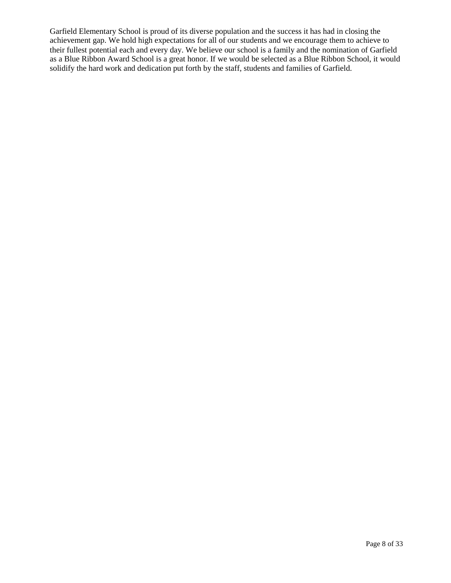Garfield Elementary School is proud of its diverse population and the success it has had in closing the achievement gap. We hold high expectations for all of our students and we encourage them to achieve to their fullest potential each and every day. We believe our school is a family and the nomination of Garfield as a Blue Ribbon Award School is a great honor. If we would be selected as a Blue Ribbon School, it would solidify the hard work and dedication put forth by the staff, students and families of Garfield.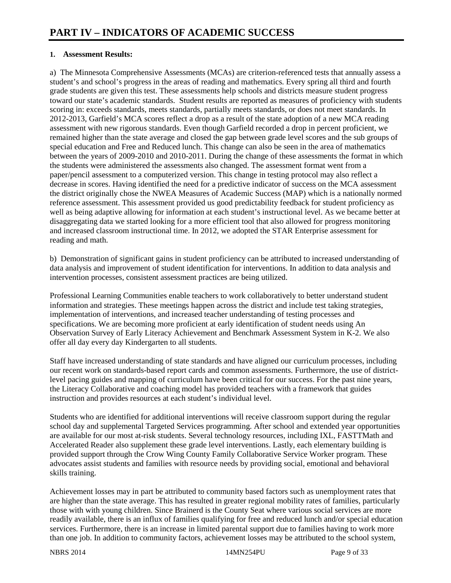# **1. Assessment Results:**

a) The Minnesota Comprehensive Assessments (MCAs) are criterion-referenced tests that annually assess a student's and school's progress in the areas of reading and mathematics. Every spring all third and fourth grade students are given this test. These assessments help schools and districts measure student progress toward our state's academic standards. Student results are reported as measures of proficiency with students scoring in: exceeds standards, meets standards, partially meets standards, or does not meet standards. In 2012-2013, Garfield's MCA scores reflect a drop as a result of the state adoption of a new MCA reading assessment with new rigorous standards. Even though Garfield recorded a drop in percent proficient, we remained higher than the state average and closed the gap between grade level scores and the sub groups of special education and Free and Reduced lunch. This change can also be seen in the area of mathematics between the years of 2009-2010 and 2010-2011. During the change of these assessments the format in which the students were administered the assessments also changed. The assessment format went from a paper/pencil assessment to a computerized version. This change in testing protocol may also reflect a decrease in scores. Having identified the need for a predictive indicator of success on the MCA assessment the district originally chose the NWEA Measures of Academic Success (MAP) which is a nationally normed reference assessment. This assessment provided us good predictability feedback for student proficiency as well as being adaptive allowing for information at each student's instructional level. As we became better at disaggregating data we started looking for a more efficient tool that also allowed for progress monitoring and increased classroom instructional time. In 2012, we adopted the STAR Enterprise assessment for reading and math.

b) Demonstration of significant gains in student proficiency can be attributed to increased understanding of data analysis and improvement of student identification for interventions. In addition to data analysis and intervention processes, consistent assessment practices are being utilized.

Professional Learning Communities enable teachers to work collaboratively to better understand student information and strategies. These meetings happen across the district and include test taking strategies, implementation of interventions, and increased teacher understanding of testing processes and specifications. We are becoming more proficient at early identification of student needs using An Observation Survey of Early Literacy Achievement and Benchmark Assessment System in K-2. We also offer all day every day Kindergarten to all students.

Staff have increased understanding of state standards and have aligned our curriculum processes, including our recent work on standards-based report cards and common assessments. Furthermore, the use of districtlevel pacing guides and mapping of curriculum have been critical for our success. For the past nine years, the Literacy Collaborative and coaching model has provided teachers with a framework that guides instruction and provides resources at each student's individual level.

Students who are identified for additional interventions will receive classroom support during the regular school day and supplemental Targeted Services programming. After school and extended year opportunities are available for our most at-risk students. Several technology resources, including IXL, FASTTMath and Accelerated Reader also supplement these grade level interventions. Lastly, each elementary building is provided support through the Crow Wing County Family Collaborative Service Worker program. These advocates assist students and families with resource needs by providing social, emotional and behavioral skills training.

Achievement losses may in part be attributed to community based factors such as unemployment rates that are higher than the state average. This has resulted in greater regional mobility rates of families, particularly those with with young children. Since Brainerd is the County Seat where various social services are more readily available, there is an influx of families qualifying for free and reduced lunch and/or special education services. Furthermore, there is an increase in limited parental support due to families having to work more than one job. In addition to community factors, achievement losses may be attributed to the school system,

NBRS 2014 **14MN254PU** Page 9 of 33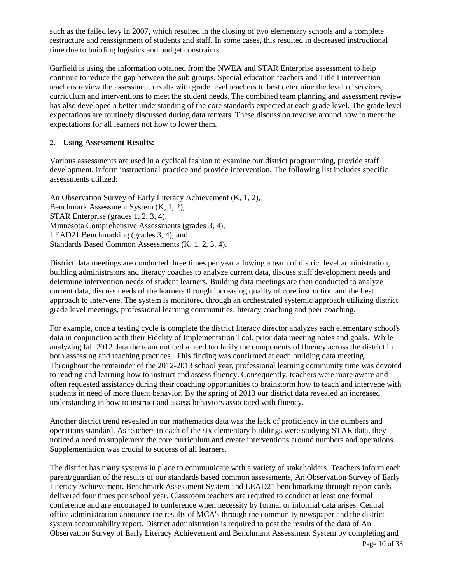such as the failed levy in 2007, which resulted in the closing of two elementary schools and a complete restructure and reassignment of students and staff. In some cases, this resulted in decreased instructional time due to building logistics and budget constraints.

Garfield is using the information obtained from the NWEA and STAR Enterprise assessment to help continue to reduce the gap between the sub groups. Special education teachers and Title I intervention teachers review the assessment results with grade level teachers to best determine the level of services, curriculum and interventions to meet the student needs. The combined team planning and assessment review has also developed a better understanding of the core standards expected at each grade level. The grade level expectations are routinely discussed during data retreats. These discussion revolve around how to meet the expectations for all learners not how to lower them.

# **2. Using Assessment Results:**

Various assessments are used in a cyclical fashion to examine our district programming, provide staff development, inform instructional practice and provide intervention. The following list includes specific assessments utilized:

An Observation Survey of Early Literacy Achievement (K, 1, 2), Benchmark Assessment System (K, 1, 2), STAR Enterprise (grades 1, 2, 3, 4), Minnesota Comprehensive Assessments (grades 3, 4), LEAD21 Benchmarking (grades 3, 4), and Standards Based Common Assessments (K, 1, 2, 3, 4).

District data meetings are conducted three times per year allowing a team of district level administration, building administrators and literacy coaches to analyze current data, discuss staff development needs and determine intervention needs of student learners. Building data meetings are then conducted to analyze current data, discuss needs of the learners through increasing quality of core instruction and the best approach to intervene. The system is monitored through an orchestrated systemic approach utilizing district grade level meetings, professional learning communities, literacy coaching and peer coaching.

For example, once a testing cycle is complete the district literacy director analyzes each elementary school's data in conjunction with their Fidelity of Implementation Tool, prior data meeting notes and goals. While analyzing fall 2012 data the team noticed a need to clarify the components of fluency across the district in both assessing and teaching practices. This finding was confirmed at each building data meeting. Throughout the remainder of the 2012-2013 school year, professional learning community time was devoted to reading and learning how to instruct and assess fluency. Consequently, teachers were more aware and often requested assistance during their coaching opportunities to brainstorm how to teach and intervene with students in need of more fluent behavior. By the spring of 2013 our district data revealed an increased understanding in how to instruct and assess behaviors associated with fluency.

Another district trend revealed in our mathematics data was the lack of proficiency in the numbers and operations standard. As teachers in each of the six elementary buildings were studying STAR data, they noticed a need to supplement the core curriculum and create interventions around numbers and operations. Supplementation was crucial to success of all learners.

The district has many systems in place to communicate with a variety of stakeholders. Teachers inform each parent/guardian of the results of our standards based common assessments, An Observation Survey of Early Literacy Achievement, Benchmark Assessment System and LEAD21 benchmarking through report cards delivered four times per school year. Classroom teachers are required to conduct at least one formal conference and are encouraged to conference when necessity by formal or informal data arises. Central office administration announce the results of MCA's through the community newspaper and the district system accountability report. District administration is required to post the results of the data of An Observation Survey of Early Literacy Achievement and Benchmark Assessment System by completing and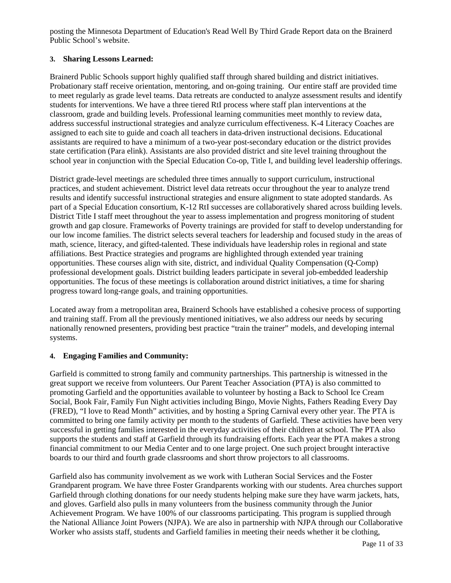posting the Minnesota Department of Education's Read Well By Third Grade Report data on the Brainerd Public School's website.

# **3. Sharing Lessons Learned:**

Brainerd Public Schools support highly qualified staff through shared building and district initiatives. Probationary staff receive orientation, mentoring, and on-going training. Our entire staff are provided time to meet regularly as grade level teams. Data retreats are conducted to analyze assessment results and identify students for interventions. We have a three tiered RtI process where staff plan interventions at the classroom, grade and building levels. Professional learning communities meet monthly to review data, address successful instructional strategies and analyze curriculum effectiveness. K-4 Literacy Coaches are assigned to each site to guide and coach all teachers in data-driven instructional decisions. Educational assistants are required to have a minimum of a two-year post-secondary education or the district provides state certification (Para elink). Assistants are also provided district and site level training throughout the school year in conjunction with the Special Education Co-op, Title I, and building level leadership offerings.

District grade-level meetings are scheduled three times annually to support curriculum, instructional practices, and student achievement. District level data retreats occur throughout the year to analyze trend results and identify successful instructional strategies and ensure alignment to state adopted standards. As part of a Special Education consortium, K-12 RtI successes are collaboratively shared across building levels. District Title I staff meet throughout the year to assess implementation and progress monitoring of student growth and gap closure. Frameworks of Poverty trainings are provided for staff to develop understanding for our low income families. The district selects several teachers for leadership and focused study in the areas of math, science, literacy, and gifted-talented. These individuals have leadership roles in regional and state affiliations. Best Practice strategies and programs are highlighted through extended year training opportunities. These courses align with site, district, and individual Quality Compensation (Q-Comp) professional development goals. District building leaders participate in several job-embedded leadership opportunities. The focus of these meetings is collaboration around district initiatives, a time for sharing progress toward long-range goals, and training opportunities.

Located away from a metropolitan area, Brainerd Schools have established a cohesive process of supporting and training staff. From all the previously mentioned initiatives, we also address our needs by securing nationally renowned presenters, providing best practice "train the trainer" models, and developing internal systems.

# **4. Engaging Families and Community:**

Garfield is committed to strong family and community partnerships. This partnership is witnessed in the great support we receive from volunteers. Our Parent Teacher Association (PTA) is also committed to promoting Garfield and the opportunities available to volunteer by hosting a Back to School Ice Cream Social, Book Fair, Family Fun Night activities including Bingo, Movie Nights, Fathers Reading Every Day (FRED), "I love to Read Month" activities, and by hosting a Spring Carnival every other year. The PTA is committed to bring one family activity per month to the students of Garfield. These activities have been very successful in getting families interested in the everyday activities of their children at school. The PTA also supports the students and staff at Garfield through its fundraising efforts. Each year the PTA makes a strong financial commitment to our Media Center and to one large project. One such project brought interactive boards to our third and fourth grade classrooms and short throw projectors to all classrooms.

Garfield also has community involvement as we work with Lutheran Social Services and the Foster Grandparent program. We have three Foster Grandparents working with our students. Area churches support Garfield through clothing donations for our needy students helping make sure they have warm jackets, hats, and gloves. Garfield also pulls in many volunteers from the business community through the Junior Achievement Program. We have 100% of our classrooms participating. This program is supplied through the National Alliance Joint Powers (NJPA). We are also in partnership with NJPA through our Collaborative Worker who assists staff, students and Garfield families in meeting their needs whether it be clothing,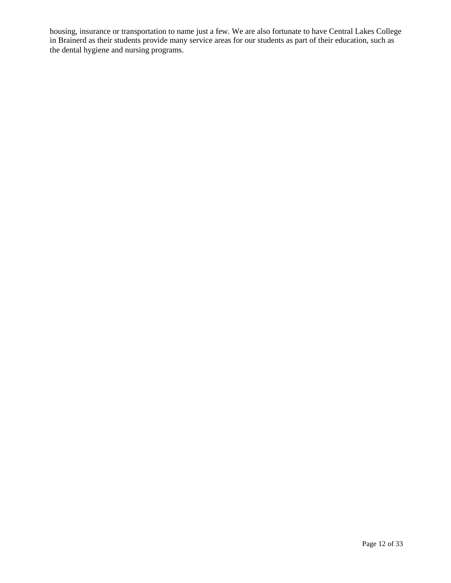housing, insurance or transportation to name just a few. We are also fortunate to have Central Lakes College in Brainerd as their students provide many service areas for our students as part of their education, such as the dental hygiene and nursing programs.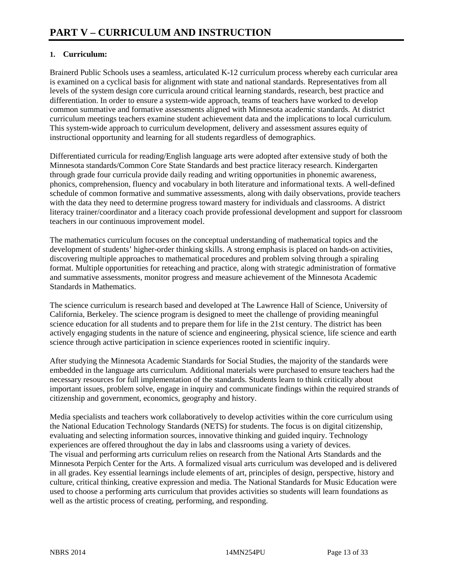# **1. Curriculum:**

Brainerd Public Schools uses a seamless, articulated K-12 curriculum process whereby each curricular area is examined on a cyclical basis for alignment with state and national standards. Representatives from all levels of the system design core curricula around critical learning standards, research, best practice and differentiation. In order to ensure a system-wide approach, teams of teachers have worked to develop common summative and formative assessments aligned with Minnesota academic standards. At district curriculum meetings teachers examine student achievement data and the implications to local curriculum. This system-wide approach to curriculum development, delivery and assessment assures equity of instructional opportunity and learning for all students regardless of demographics.

Differentiated curricula for reading/English language arts were adopted after extensive study of both the Minnesota standards/Common Core State Standards and best practice literacy research. Kindergarten through grade four curricula provide daily reading and writing opportunities in phonemic awareness, phonics, comprehension, fluency and vocabulary in both literature and informational texts. A well-defined schedule of common formative and summative assessments, along with daily observations, provide teachers with the data they need to determine progress toward mastery for individuals and classrooms. A district literacy trainer/coordinator and a literacy coach provide professional development and support for classroom teachers in our continuous improvement model.

The mathematics curriculum focuses on the conceptual understanding of mathematical topics and the development of students' higher-order thinking skills. A strong emphasis is placed on hands-on activities, discovering multiple approaches to mathematical procedures and problem solving through a spiraling format. Multiple opportunities for reteaching and practice, along with strategic administration of formative and summative assessments, monitor progress and measure achievement of the Minnesota Academic Standards in Mathematics.

The science curriculum is research based and developed at The Lawrence Hall of Science, University of California, Berkeley. The science program is designed to meet the challenge of providing meaningful science education for all students and to prepare them for life in the 21st century. The district has been actively engaging students in the nature of science and engineering, physical science, life science and earth science through active participation in science experiences rooted in scientific inquiry.

After studying the Minnesota Academic Standards for Social Studies, the majority of the standards were embedded in the language arts curriculum. Additional materials were purchased to ensure teachers had the necessary resources for full implementation of the standards. Students learn to think critically about important issues, problem solve, engage in inquiry and communicate findings within the required strands of citizenship and government, economics, geography and history.

Media specialists and teachers work collaboratively to develop activities within the core curriculum using the National Education Technology Standards (NETS) for students. The focus is on digital citizenship, evaluating and selecting information sources, innovative thinking and guided inquiry. Technology experiences are offered throughout the day in labs and classrooms using a variety of devices. The visual and performing arts curriculum relies on research from the National Arts Standards and the Minnesota Perpich Center for the Arts. A formalized visual arts curriculum was developed and is delivered in all grades. Key essential learnings include elements of art, principles of design, perspective, history and culture, critical thinking, creative expression and media. The National Standards for Music Education were used to choose a performing arts curriculum that provides activities so students will learn foundations as well as the artistic process of creating, performing, and responding.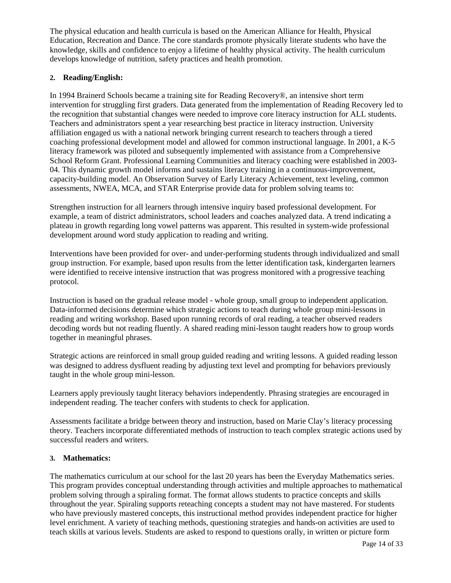The physical education and health curricula is based on the American Alliance for Health, Physical Education, Recreation and Dance. The core standards promote physically literate students who have the knowledge, skills and confidence to enjoy a lifetime of healthy physical activity. The health curriculum develops knowledge of nutrition, safety practices and health promotion.

# **2. Reading/English:**

In 1994 Brainerd Schools became a training site for Reading Recovery®, an intensive short term intervention for struggling first graders. Data generated from the implementation of Reading Recovery led to the recognition that substantial changes were needed to improve core literacy instruction for ALL students. Teachers and administrators spent a year researching best practice in literacy instruction. University affiliation engaged us with a national network bringing current research to teachers through a tiered coaching professional development model and allowed for common instructional language. In 2001, a K-5 literacy framework was piloted and subsequently implemented with assistance from a Comprehensive School Reform Grant. Professional Learning Communities and literacy coaching were established in 2003- 04. This dynamic growth model informs and sustains literacy training in a continuous-improvement, capacity-building model. An Observation Survey of Early Literacy Achievement, text leveling, common assessments, NWEA, MCA, and STAR Enterprise provide data for problem solving teams to:

Strengthen instruction for all learners through intensive inquiry based professional development. For example, a team of district administrators, school leaders and coaches analyzed data. A trend indicating a plateau in growth regarding long vowel patterns was apparent. This resulted in system-wide professional development around word study application to reading and writing.

Interventions have been provided for over- and under-performing students through individualized and small group instruction. For example, based upon results from the letter identification task, kindergarten learners were identified to receive intensive instruction that was progress monitored with a progressive teaching protocol.

Instruction is based on the gradual release model - whole group, small group to independent application. Data-informed decisions determine which strategic actions to teach during whole group mini-lessons in reading and writing workshop. Based upon running records of oral reading, a teacher observed readers decoding words but not reading fluently. A shared reading mini-lesson taught readers how to group words together in meaningful phrases.

Strategic actions are reinforced in small group guided reading and writing lessons. A guided reading lesson was designed to address dysfluent reading by adjusting text level and prompting for behaviors previously taught in the whole group mini-lesson.

Learners apply previously taught literacy behaviors independently. Phrasing strategies are encouraged in independent reading. The teacher confers with students to check for application.

Assessments facilitate a bridge between theory and instruction, based on Marie Clay's literacy processing theory. Teachers incorporate differentiated methods of instruction to teach complex strategic actions used by successful readers and writers.

# **3. Mathematics:**

The mathematics curriculum at our school for the last 20 years has been the Everyday Mathematics series. This program provides conceptual understanding through activities and multiple approaches to mathematical problem solving through a spiraling format. The format allows students to practice concepts and skills throughout the year. Spiraling supports reteaching concepts a student may not have mastered. For students who have previously mastered concepts, this instructional method provides independent practice for higher level enrichment. A variety of teaching methods, questioning strategies and hands-on activities are used to teach skills at various levels. Students are asked to respond to questions orally, in written or picture form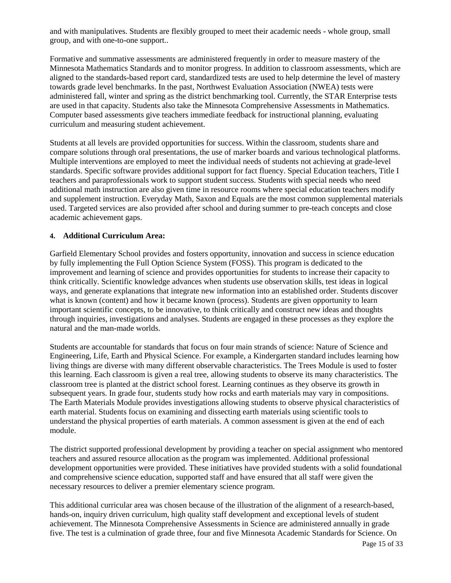and with manipulatives. Students are flexibly grouped to meet their academic needs - whole group, small group, and with one-to-one support..

Formative and summative assessments are administered frequently in order to measure mastery of the Minnesota Mathematics Standards and to monitor progress. In addition to classroom assessments, which are aligned to the standards-based report card, standardized tests are used to help determine the level of mastery towards grade level benchmarks. In the past, Northwest Evaluation Association (NWEA) tests were administered fall, winter and spring as the district benchmarking tool. Currently, the STAR Enterprise tests are used in that capacity. Students also take the Minnesota Comprehensive Assessments in Mathematics. Computer based assessments give teachers immediate feedback for instructional planning, evaluating curriculum and measuring student achievement.

Students at all levels are provided opportunities for success. Within the classroom, students share and compare solutions through oral presentations, the use of marker boards and various technological platforms. Multiple interventions are employed to meet the individual needs of students not achieving at grade-level standards. Specific software provides additional support for fact fluency. Special Education teachers, Title I teachers and paraprofessionals work to support student success. Students with special needs who need additional math instruction are also given time in resource rooms where special education teachers modify and supplement instruction. Everyday Math, Saxon and Equals are the most common supplemental materials used. Targeted services are also provided after school and during summer to pre-teach concepts and close academic achievement gaps.

# **4. Additional Curriculum Area:**

Garfield Elementary School provides and fosters opportunity, innovation and success in science education by fully implementing the Full Option Science System (FOSS). This program is dedicated to the improvement and learning of science and provides opportunities for students to increase their capacity to think critically. Scientific knowledge advances when students use observation skills, test ideas in logical ways, and generate explanations that integrate new information into an established order. Students discover what is known (content) and how it became known (process). Students are given opportunity to learn important scientific concepts, to be innovative, to think critically and construct new ideas and thoughts through inquiries, investigations and analyses. Students are engaged in these processes as they explore the natural and the man-made worlds.

Students are accountable for standards that focus on four main strands of science: Nature of Science and Engineering, Life, Earth and Physical Science. For example, a Kindergarten standard includes learning how living things are diverse with many different observable characteristics. The Trees Module is used to foster this learning. Each classroom is given a real tree, allowing students to observe its many characteristics. The classroom tree is planted at the district school forest. Learning continues as they observe its growth in subsequent years. In grade four, students study how rocks and earth materials may vary in compositions. The Earth Materials Module provides investigations allowing students to observe physical characteristics of earth material. Students focus on examining and dissecting earth materials using scientific tools to understand the physical properties of earth materials. A common assessment is given at the end of each module.

The district supported professional development by providing a teacher on special assignment who mentored teachers and assured resource allocation as the program was implemented. Additional professional development opportunities were provided. These initiatives have provided students with a solid foundational and comprehensive science education, supported staff and have ensured that all staff were given the necessary resources to deliver a premier elementary science program.

This additional curricular area was chosen because of the illustration of the alignment of a research-based, hands-on, inquiry driven curriculum, high quality staff development and exceptional levels of student achievement. The Minnesota Comprehensive Assessments in Science are administered annually in grade five. The test is a culmination of grade three, four and five Minnesota Academic Standards for Science. On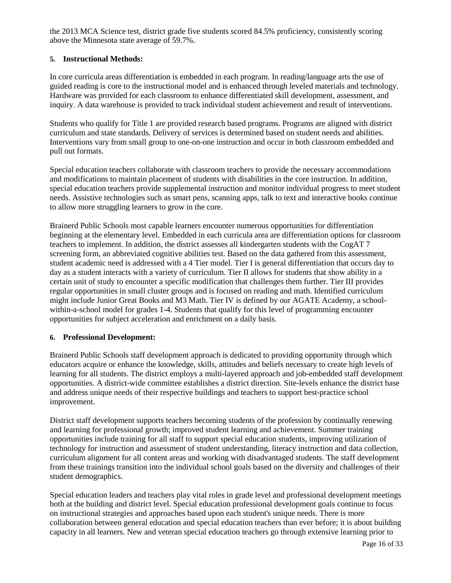the 2013 MCA Science test, district grade five students scored 84.5% proficiency, consistently scoring above the Minnesota state average of 59.7%.

# **5. Instructional Methods:**

In core curricula areas differentiation is embedded in each program. In reading/language arts the use of guided reading is core to the instructional model and is enhanced through leveled materials and technology. Hardware was provided for each classroom to enhance differentiated skill development, assessment, and inquiry. A data warehouse is provided to track individual student achievement and result of interventions.

Students who qualify for Title 1 are provided research based programs. Programs are aligned with district curriculum and state standards. Delivery of services is determined based on student needs and abilities. Interventions vary from small group to one-on-one instruction and occur in both classroom embedded and pull out formats.

Special education teachers collaborate with classroom teachers to provide the necessary accommodations and modifications to maintain placement of students with disabilities in the core instruction. In addition, special education teachers provide supplemental instruction and monitor individual progress to meet student needs. Assistive technologies such as smart pens, scanning apps, talk to text and interactive books continue to allow more struggling learners to grow in the core.

Brainerd Public Schools most capable learners encounter numerous opportunities for differentiation beginning at the elementary level. Embedded in each curricula area are differentiation options for classroom teachers to implement. In addition, the district assesses all kindergarten students with the CogAT 7 screening form, an abbreviated cognitive abilities test. Based on the data gathered from this assessment, student academic need is addressed with a 4 Tier model. Tier I is general differentiation that occurs day to day as a student interacts with a variety of curriculum. Tier II allows for students that show ability in a certain unit of study to encounter a specific modification that challenges them further. Tier III provides regular opportunities in small cluster groups and is focused on reading and math. Identified curriculum might include Junior Great Books and M3 Math. Tier IV is defined by our AGATE Academy, a schoolwithin-a-school model for grades 1-4. Students that qualify for this level of programming encounter opportunities for subject acceleration and enrichment on a daily basis.

# **6. Professional Development:**

Brainerd Public Schools staff development approach is dedicated to providing opportunity through which educators acquire or enhance the knowledge, skills, attitudes and beliefs necessary to create high levels of learning for all students. The district employs a multi-layered approach and job-embedded staff development opportunities. A district-wide committee establishes a district direction. Site-levels enhance the district base and address unique needs of their respective buildings and teachers to support best-practice school improvement.

District staff development supports teachers becoming students of the profession by continually renewing and learning for professional growth; improved student learning and achievement. Summer training opportunities include training for all staff to support special education students, improving utilization of technology for instruction and assessment of student understanding, literacy instruction and data collection, curriculum alignment for all content areas and working with disadvantaged students. The staff development from these trainings transition into the individual school goals based on the diversity and challenges of their student demographics.

Special education leaders and teachers play vital roles in grade level and professional development meetings both at the building and district level. Special education professional development goals continue to focus on instructional strategies and approaches based upon each student's unique needs. There is more collaboration between general education and special education teachers than ever before; it is about building capacity in all learners. New and veteran special education teachers go through extensive learning prior to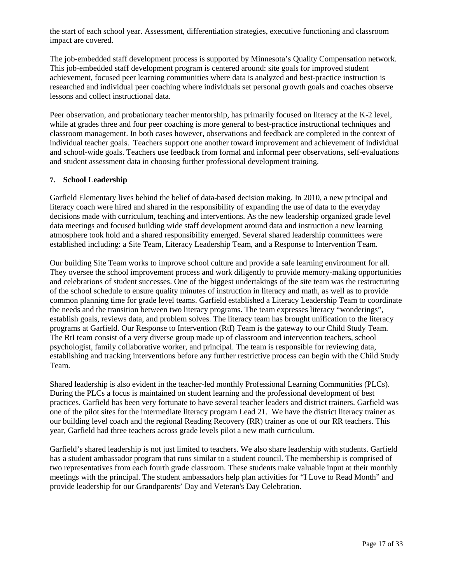the start of each school year. Assessment, differentiation strategies, executive functioning and classroom impact are covered.

The job-embedded staff development process is supported by Minnesota's Quality Compensation network. This job-embedded staff development program is centered around: site goals for improved student achievement, focused peer learning communities where data is analyzed and best-practice instruction is researched and individual peer coaching where individuals set personal growth goals and coaches observe lessons and collect instructional data.

Peer observation, and probationary teacher mentorship, has primarily focused on literacy at the K-2 level, while at grades three and four peer coaching is more general to best-practice instructional techniques and classroom management. In both cases however, observations and feedback are completed in the context of individual teacher goals. Teachers support one another toward improvement and achievement of individual and school-wide goals. Teachers use feedback from formal and informal peer observations, self-evaluations and student assessment data in choosing further professional development training.

# **7. School Leadership**

Garfield Elementary lives behind the belief of data-based decision making. In 2010, a new principal and literacy coach were hired and shared in the responsibility of expanding the use of data to the everyday decisions made with curriculum, teaching and interventions. As the new leadership organized grade level data meetings and focused building wide staff development around data and instruction a new learning atmosphere took hold and a shared responsibility emerged. Several shared leadership committees were established including: a Site Team, Literacy Leadership Team, and a Response to Intervention Team.

Our building Site Team works to improve school culture and provide a safe learning environment for all. They oversee the school improvement process and work diligently to provide memory-making opportunities and celebrations of student successes. One of the biggest undertakings of the site team was the restructuring of the school schedule to ensure quality minutes of instruction in literacy and math, as well as to provide common planning time for grade level teams. Garfield established a Literacy Leadership Team to coordinate the needs and the transition between two literacy programs. The team expresses literacy "wonderings", establish goals, reviews data, and problem solves. The literacy team has brought unification to the literacy programs at Garfield. Our Response to Intervention (RtI) Team is the gateway to our Child Study Team. The RtI team consist of a very diverse group made up of classroom and intervention teachers, school psychologist, family collaborative worker, and principal. The team is responsible for reviewing data, establishing and tracking interventions before any further restrictive process can begin with the Child Study Team.

Shared leadership is also evident in the teacher-led monthly Professional Learning Communities (PLCs). During the PLCs a focus is maintained on student learning and the professional development of best practices. Garfield has been very fortunate to have several teacher leaders and district trainers. Garfield was one of the pilot sites for the intermediate literacy program Lead 21. We have the district literacy trainer as our building level coach and the regional Reading Recovery (RR) trainer as one of our RR teachers. This year, Garfield had three teachers across grade levels pilot a new math curriculum.

Garfield's shared leadership is not just limited to teachers. We also share leadership with students. Garfield has a student ambassador program that runs similar to a student council. The membership is comprised of two representatives from each fourth grade classroom. These students make valuable input at their monthly meetings with the principal. The student ambassadors help plan activities for "I Love to Read Month" and provide leadership for our Grandparents' Day and Veteran's Day Celebration.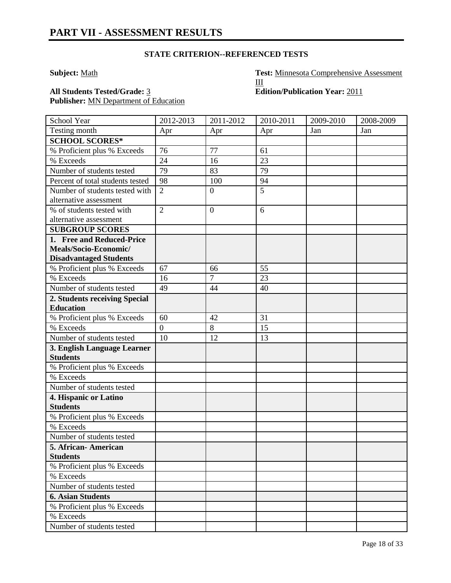# **STATE CRITERION--REFERENCED TESTS**

**Subject:** Math **Test:** Minnesota Comprehensive Assessment III

Publisher: **MN Department of Education** 

**All Students Tested/Grade:** 3 **Edition/Publication Year:** 2011

| School Year                                    | 2012-2013      | 2011-2012      | 2010-2011 | 2009-2010 | 2008-2009 |
|------------------------------------------------|----------------|----------------|-----------|-----------|-----------|
| Testing month                                  | Apr            | Apr            | Apr       | Jan       | Jan       |
| <b>SCHOOL SCORES*</b>                          |                |                |           |           |           |
| % Proficient plus % Exceeds                    | 76             | 77             | 61        |           |           |
| % Exceeds                                      | 24             | 16             | 23        |           |           |
| Number of students tested                      | 79             | 83             | 79        |           |           |
| Percent of total students tested               | 98             | 100            | 94        |           |           |
| Number of students tested with                 | $\overline{2}$ | $\overline{0}$ | 5         |           |           |
| alternative assessment                         |                |                |           |           |           |
| % of students tested with                      | $\overline{2}$ | $\overline{0}$ | 6         |           |           |
| alternative assessment                         |                |                |           |           |           |
| <b>SUBGROUP SCORES</b>                         |                |                |           |           |           |
| 1. Free and Reduced-Price                      |                |                |           |           |           |
| Meals/Socio-Economic/                          |                |                |           |           |           |
| <b>Disadvantaged Students</b>                  |                |                |           |           |           |
| % Proficient plus % Exceeds                    | 67             | 66             | 55        |           |           |
| % Exceeds                                      | 16             | 7              | 23        |           |           |
| Number of students tested                      | 49             | 44             | 40        |           |           |
| 2. Students receiving Special                  |                |                |           |           |           |
| <b>Education</b>                               |                |                |           |           |           |
| % Proficient plus % Exceeds                    | 60             | 42             | 31        |           |           |
| % Exceeds                                      | $\overline{0}$ | 8              | 15        |           |           |
| Number of students tested                      | 10             | 12             | 13        |           |           |
| 3. English Language Learner<br><b>Students</b> |                |                |           |           |           |
| % Proficient plus % Exceeds                    |                |                |           |           |           |
| % Exceeds                                      |                |                |           |           |           |
| Number of students tested                      |                |                |           |           |           |
| 4. Hispanic or Latino                          |                |                |           |           |           |
| <b>Students</b>                                |                |                |           |           |           |
| % Proficient plus % Exceeds                    |                |                |           |           |           |
| % Exceeds                                      |                |                |           |           |           |
| Number of students tested                      |                |                |           |           |           |
| 5. African-American                            |                |                |           |           |           |
| <b>Students</b>                                |                |                |           |           |           |
| % Proficient plus % Exceeds                    |                |                |           |           |           |
| % Exceeds                                      |                |                |           |           |           |
| Number of students tested                      |                |                |           |           |           |
| <b>6. Asian Students</b>                       |                |                |           |           |           |
| % Proficient plus % Exceeds                    |                |                |           |           |           |
| % Exceeds                                      |                |                |           |           |           |
| Number of students tested                      |                |                |           |           |           |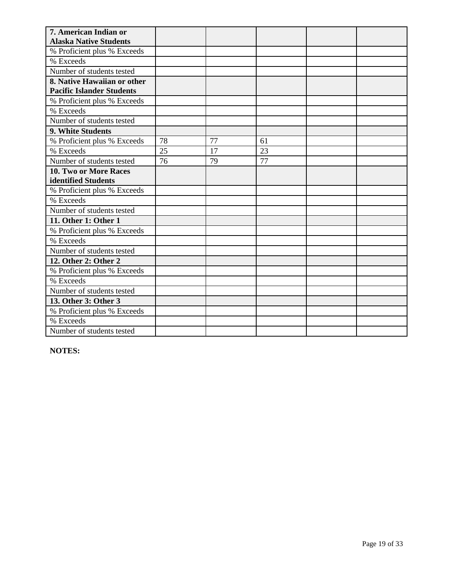| 7. American Indian or            |    |    |    |  |
|----------------------------------|----|----|----|--|
| <b>Alaska Native Students</b>    |    |    |    |  |
| % Proficient plus % Exceeds      |    |    |    |  |
| % Exceeds                        |    |    |    |  |
| Number of students tested        |    |    |    |  |
| 8. Native Hawaiian or other      |    |    |    |  |
| <b>Pacific Islander Students</b> |    |    |    |  |
| % Proficient plus % Exceeds      |    |    |    |  |
| % Exceeds                        |    |    |    |  |
| Number of students tested        |    |    |    |  |
| 9. White Students                |    |    |    |  |
| % Proficient plus % Exceeds      | 78 | 77 | 61 |  |
| % Exceeds                        | 25 | 17 | 23 |  |
| Number of students tested        | 76 | 79 | 77 |  |
| <b>10. Two or More Races</b>     |    |    |    |  |
| identified Students              |    |    |    |  |
| % Proficient plus % Exceeds      |    |    |    |  |
| % Exceeds                        |    |    |    |  |
| Number of students tested        |    |    |    |  |
| 11. Other 1: Other 1             |    |    |    |  |
| % Proficient plus % Exceeds      |    |    |    |  |
| % Exceeds                        |    |    |    |  |
| Number of students tested        |    |    |    |  |
| 12. Other 2: Other 2             |    |    |    |  |
| % Proficient plus % Exceeds      |    |    |    |  |
| % Exceeds                        |    |    |    |  |
| Number of students tested        |    |    |    |  |
| 13. Other 3: Other 3             |    |    |    |  |
| % Proficient plus % Exceeds      |    |    |    |  |
| % Exceeds                        |    |    |    |  |
| Number of students tested        |    |    |    |  |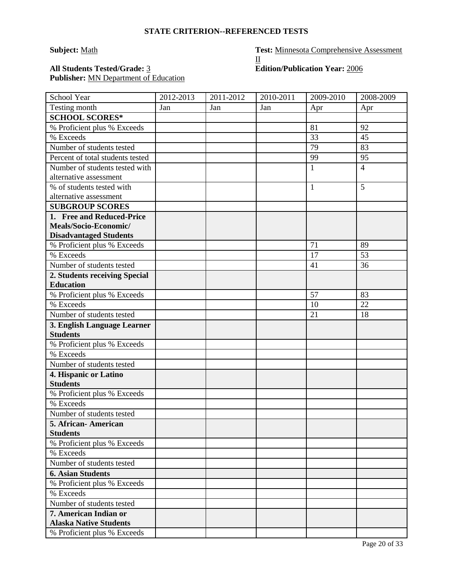# **STATE CRITERION--REFERENCED TESTS**

**Subject:** Math **Test:** Minnesota Comprehensive Assessment  $\underline{\mathrm{II}}$ 

# **All Students Tested/Grade:** 3 **Edition/Publication Year:** 2006 Publisher: **MN** Department of Education

| School Year                                     | 2012-2013 | 2011-2012 | 2010-2011 | 2009-2010    | 2008-2009      |
|-------------------------------------------------|-----------|-----------|-----------|--------------|----------------|
| Testing month                                   | Jan       | Jan       | Jan       | Apr          | Apr            |
| <b>SCHOOL SCORES*</b>                           |           |           |           |              |                |
| % Proficient plus % Exceeds                     |           |           |           | 81           | 92             |
| % Exceeds                                       |           |           |           | 33           | 45             |
| Number of students tested                       |           |           |           | 79           | 83             |
| Percent of total students tested                |           |           |           | 99           | 95             |
| Number of students tested with                  |           |           |           | $\mathbf{1}$ | $\overline{4}$ |
| alternative assessment                          |           |           |           |              |                |
| % of students tested with                       |           |           |           | $\mathbf{1}$ | 5              |
| alternative assessment                          |           |           |           |              |                |
| <b>SUBGROUP SCORES</b>                          |           |           |           |              |                |
| 1. Free and Reduced-Price                       |           |           |           |              |                |
| Meals/Socio-Economic/                           |           |           |           |              |                |
| <b>Disadvantaged Students</b>                   |           |           |           |              |                |
| % Proficient plus % Exceeds                     |           |           |           | 71           | 89             |
| % Exceeds                                       |           |           |           | 17           | 53             |
| Number of students tested                       |           |           |           | 41           | 36             |
| 2. Students receiving Special                   |           |           |           |              |                |
| <b>Education</b><br>% Proficient plus % Exceeds |           |           |           | 57           | 83             |
| % Exceeds                                       |           |           |           | 10           | 22             |
| Number of students tested                       |           |           |           | 21           | 18             |
| 3. English Language Learner                     |           |           |           |              |                |
| <b>Students</b>                                 |           |           |           |              |                |
| % Proficient plus % Exceeds                     |           |           |           |              |                |
| % Exceeds                                       |           |           |           |              |                |
| Number of students tested                       |           |           |           |              |                |
| 4. Hispanic or Latino                           |           |           |           |              |                |
| <b>Students</b>                                 |           |           |           |              |                |
| % Proficient plus % Exceeds                     |           |           |           |              |                |
| % Exceeds                                       |           |           |           |              |                |
| Number of students tested                       |           |           |           |              |                |
| 5. African - American                           |           |           |           |              |                |
| <b>Students</b>                                 |           |           |           |              |                |
| % Proficient plus % Exceeds                     |           |           |           |              |                |
| % Exceeds                                       |           |           |           |              |                |
| Number of students tested                       |           |           |           |              |                |
| <b>6. Asian Students</b>                        |           |           |           |              |                |
| % Proficient plus % Exceeds                     |           |           |           |              |                |
| % Exceeds                                       |           |           |           |              |                |
| Number of students tested                       |           |           |           |              |                |
| 7. American Indian or                           |           |           |           |              |                |
| <b>Alaska Native Students</b>                   |           |           |           |              |                |
| % Proficient plus % Exceeds                     |           |           |           |              |                |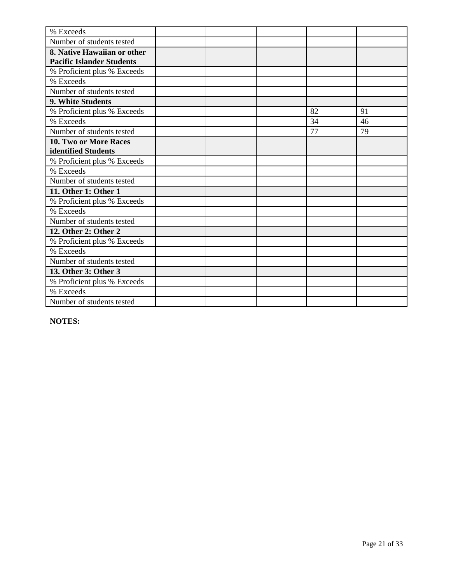| % Exceeds                        |  |    |    |
|----------------------------------|--|----|----|
| Number of students tested        |  |    |    |
| 8. Native Hawaiian or other      |  |    |    |
| <b>Pacific Islander Students</b> |  |    |    |
| % Proficient plus % Exceeds      |  |    |    |
| % Exceeds                        |  |    |    |
| Number of students tested        |  |    |    |
| 9. White Students                |  |    |    |
| % Proficient plus % Exceeds      |  | 82 | 91 |
| % Exceeds                        |  | 34 | 46 |
| Number of students tested        |  | 77 | 79 |
| 10. Two or More Races            |  |    |    |
| identified Students              |  |    |    |
| % Proficient plus % Exceeds      |  |    |    |
| % Exceeds                        |  |    |    |
| Number of students tested        |  |    |    |
| 11. Other 1: Other 1             |  |    |    |
| % Proficient plus % Exceeds      |  |    |    |
| % Exceeds                        |  |    |    |
| Number of students tested        |  |    |    |
| 12. Other 2: Other 2             |  |    |    |
| % Proficient plus % Exceeds      |  |    |    |
| % Exceeds                        |  |    |    |
| Number of students tested        |  |    |    |
| 13. Other 3: Other 3             |  |    |    |
| % Proficient plus % Exceeds      |  |    |    |
| % Exceeds                        |  |    |    |
| Number of students tested        |  |    |    |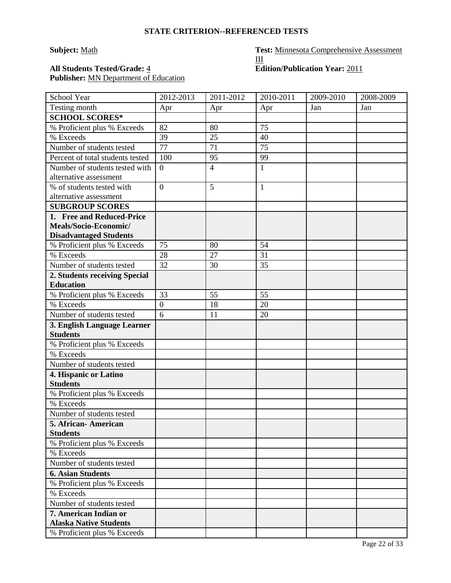# **STATE CRITERION--REFERENCED TESTS**

# **Subject:** Math **Test:** Minnesota Comprehensive Assessment III All Students Tested/Grade:  $\frac{4}{5}$  **Edition/Publication Year:** 2011

Publisher: **MN** Department of Education

| School Year                      | 2012-2013      | 2011-2012      | 2010-2011    | 2009-2010 | 2008-2009 |
|----------------------------------|----------------|----------------|--------------|-----------|-----------|
| Testing month                    | Apr            | Apr            | Apr          | Jan       | Jan       |
| <b>SCHOOL SCORES*</b>            |                |                |              |           |           |
| % Proficient plus % Exceeds      | 82             | 80             | 75           |           |           |
| % Exceeds                        | 39             | 25             | 40           |           |           |
| Number of students tested        | 77             | 71             | 75           |           |           |
| Percent of total students tested | 100            | 95             | 99           |           |           |
| Number of students tested with   | $\theta$       | $\overline{4}$ | $\mathbf{1}$ |           |           |
| alternative assessment           |                |                |              |           |           |
| % of students tested with        | $\overline{0}$ | 5              | $\mathbf{1}$ |           |           |
| alternative assessment           |                |                |              |           |           |
| <b>SUBGROUP SCORES</b>           |                |                |              |           |           |
| 1. Free and Reduced-Price        |                |                |              |           |           |
| Meals/Socio-Economic/            |                |                |              |           |           |
| <b>Disadvantaged Students</b>    |                |                |              |           |           |
| % Proficient plus % Exceeds      | 75             | 80             | 54           |           |           |
| % Exceeds                        | 28             | 27             | 31           |           |           |
| Number of students tested        | 32             | 30             | 35           |           |           |
| 2. Students receiving Special    |                |                |              |           |           |
| <b>Education</b>                 |                |                |              |           |           |
| % Proficient plus % Exceeds      | 33             | 55             | 55           |           |           |
| % Exceeds                        | $\overline{0}$ | 18             | 20           |           |           |
| Number of students tested        | 6              | 11             | 20           |           |           |
| 3. English Language Learner      |                |                |              |           |           |
| <b>Students</b>                  |                |                |              |           |           |
| % Proficient plus % Exceeds      |                |                |              |           |           |
| % Exceeds                        |                |                |              |           |           |
| Number of students tested        |                |                |              |           |           |
| 4. Hispanic or Latino            |                |                |              |           |           |
| <b>Students</b>                  |                |                |              |           |           |
| % Proficient plus % Exceeds      |                |                |              |           |           |
| % Exceeds                        |                |                |              |           |           |
| Number of students tested        |                |                |              |           |           |
| 5. African-American              |                |                |              |           |           |
| <b>Students</b>                  |                |                |              |           |           |
| % Proficient plus % Exceeds      |                |                |              |           |           |
| % Exceeds                        |                |                |              |           |           |
| Number of students tested        |                |                |              |           |           |
| <b>6. Asian Students</b>         |                |                |              |           |           |
| % Proficient plus % Exceeds      |                |                |              |           |           |
| % Exceeds                        |                |                |              |           |           |
| Number of students tested        |                |                |              |           |           |
| 7. American Indian or            |                |                |              |           |           |
| <b>Alaska Native Students</b>    |                |                |              |           |           |
| % Proficient plus % Exceeds      |                |                |              |           |           |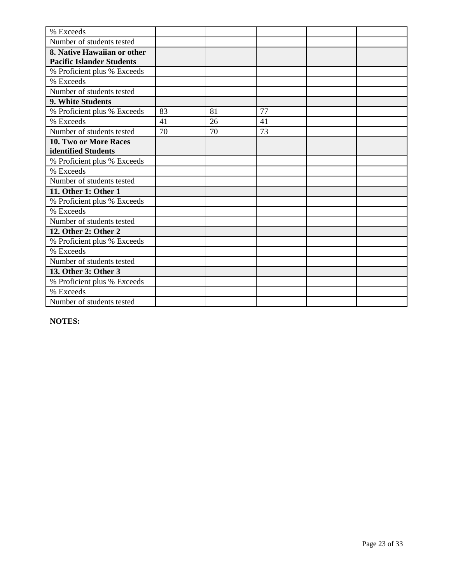| % Exceeds                        |    |    |    |  |
|----------------------------------|----|----|----|--|
| Number of students tested        |    |    |    |  |
| 8. Native Hawaiian or other      |    |    |    |  |
| <b>Pacific Islander Students</b> |    |    |    |  |
| % Proficient plus % Exceeds      |    |    |    |  |
| % Exceeds                        |    |    |    |  |
| Number of students tested        |    |    |    |  |
| 9. White Students                |    |    |    |  |
| % Proficient plus % Exceeds      | 83 | 81 | 77 |  |
| % Exceeds                        | 41 | 26 | 41 |  |
| Number of students tested        | 70 | 70 | 73 |  |
| 10. Two or More Races            |    |    |    |  |
| identified Students              |    |    |    |  |
| % Proficient plus % Exceeds      |    |    |    |  |
| % Exceeds                        |    |    |    |  |
| Number of students tested        |    |    |    |  |
| 11. Other 1: Other 1             |    |    |    |  |
| % Proficient plus % Exceeds      |    |    |    |  |
| % Exceeds                        |    |    |    |  |
| Number of students tested        |    |    |    |  |
| 12. Other 2: Other 2             |    |    |    |  |
| % Proficient plus % Exceeds      |    |    |    |  |
| % Exceeds                        |    |    |    |  |
| Number of students tested        |    |    |    |  |
| 13. Other 3: Other 3             |    |    |    |  |
| % Proficient plus % Exceeds      |    |    |    |  |
| % Exceeds                        |    |    |    |  |
| Number of students tested        |    |    |    |  |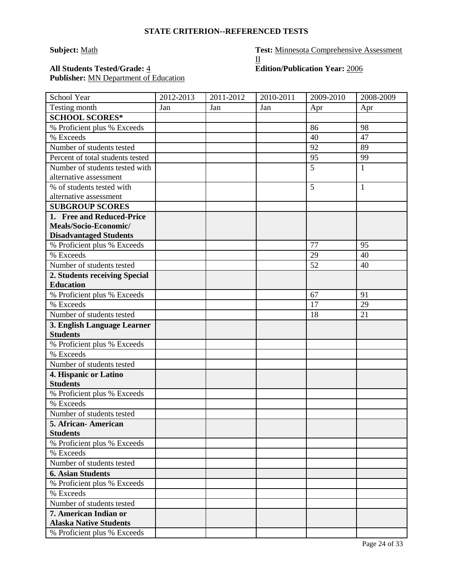# **STATE CRITERION--REFERENCED TESTS**

**Subject:** Math **Test:** Minnesota Comprehensive Assessment  $\underline{\mathrm{II}}$ 

# All Students Tested/Grade:  $\frac{4}{5}$  **Edition/Publication Year:**  $\frac{2006}{5}$ Publisher: **MN** Department of Education

| School Year                                    | 2012-2013 | 2011-2012 | 2010-2011 | 2009-2010 | 2008-2009    |
|------------------------------------------------|-----------|-----------|-----------|-----------|--------------|
| Testing month                                  | Jan       | Jan       | Jan       | Apr       | Apr          |
| <b>SCHOOL SCORES*</b>                          |           |           |           |           |              |
| % Proficient plus % Exceeds                    |           |           |           | 86        | 98           |
| % Exceeds                                      |           |           |           | 40        | 47           |
| Number of students tested                      |           |           |           | 92        | 89           |
| Percent of total students tested               |           |           |           | 95        | 99           |
| Number of students tested with                 |           |           |           | 5         | $\mathbf{1}$ |
| alternative assessment                         |           |           |           |           |              |
| % of students tested with                      |           |           |           | 5         | $\mathbf{1}$ |
| alternative assessment                         |           |           |           |           |              |
| <b>SUBGROUP SCORES</b>                         |           |           |           |           |              |
| 1. Free and Reduced-Price                      |           |           |           |           |              |
| Meals/Socio-Economic/                          |           |           |           |           |              |
| <b>Disadvantaged Students</b>                  |           |           |           |           |              |
| % Proficient plus % Exceeds                    |           |           |           | 77        | 95           |
| % Exceeds                                      |           |           |           | 29        | 40           |
| Number of students tested                      |           |           |           | 52        | 40           |
| 2. Students receiving Special                  |           |           |           |           |              |
| <b>Education</b>                               |           |           |           |           |              |
| % Proficient plus % Exceeds                    |           |           |           | 67        | 91           |
| % Exceeds                                      |           |           |           | 17        | 29           |
| Number of students tested                      |           |           |           | 18        | 21           |
| 3. English Language Learner<br><b>Students</b> |           |           |           |           |              |
| % Proficient plus % Exceeds                    |           |           |           |           |              |
| % Exceeds                                      |           |           |           |           |              |
| Number of students tested                      |           |           |           |           |              |
| 4. Hispanic or Latino                          |           |           |           |           |              |
| <b>Students</b>                                |           |           |           |           |              |
| % Proficient plus % Exceeds                    |           |           |           |           |              |
| % Exceeds                                      |           |           |           |           |              |
| Number of students tested                      |           |           |           |           |              |
| 5. African - American                          |           |           |           |           |              |
| <b>Students</b>                                |           |           |           |           |              |
| % Proficient plus % Exceeds                    |           |           |           |           |              |
| % Exceeds                                      |           |           |           |           |              |
| Number of students tested                      |           |           |           |           |              |
| <b>6. Asian Students</b>                       |           |           |           |           |              |
| % Proficient plus % Exceeds                    |           |           |           |           |              |
| % Exceeds                                      |           |           |           |           |              |
| Number of students tested                      |           |           |           |           |              |
| 7. American Indian or                          |           |           |           |           |              |
| <b>Alaska Native Students</b>                  |           |           |           |           |              |
| % Proficient plus % Exceeds                    |           |           |           |           |              |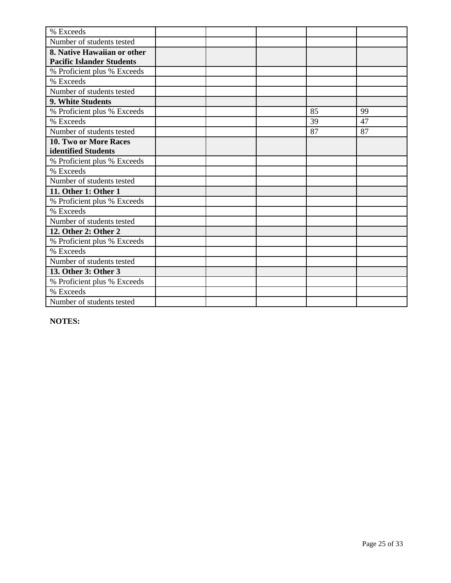| % Exceeds                        |  |    |    |
|----------------------------------|--|----|----|
| Number of students tested        |  |    |    |
| 8. Native Hawaiian or other      |  |    |    |
| <b>Pacific Islander Students</b> |  |    |    |
| % Proficient plus % Exceeds      |  |    |    |
| % Exceeds                        |  |    |    |
| Number of students tested        |  |    |    |
| 9. White Students                |  |    |    |
| % Proficient plus % Exceeds      |  | 85 | 99 |
| % Exceeds                        |  | 39 | 47 |
| Number of students tested        |  | 87 | 87 |
| 10. Two or More Races            |  |    |    |
| identified Students              |  |    |    |
| % Proficient plus % Exceeds      |  |    |    |
| % Exceeds                        |  |    |    |
| Number of students tested        |  |    |    |
| 11. Other 1: Other 1             |  |    |    |
| % Proficient plus % Exceeds      |  |    |    |
| % Exceeds                        |  |    |    |
| Number of students tested        |  |    |    |
| 12. Other 2: Other 2             |  |    |    |
| % Proficient plus % Exceeds      |  |    |    |
| % Exceeds                        |  |    |    |
| Number of students tested        |  |    |    |
| 13. Other 3: Other 3             |  |    |    |
| % Proficient plus % Exceeds      |  |    |    |
| % Exceeds                        |  |    |    |
| Number of students tested        |  |    |    |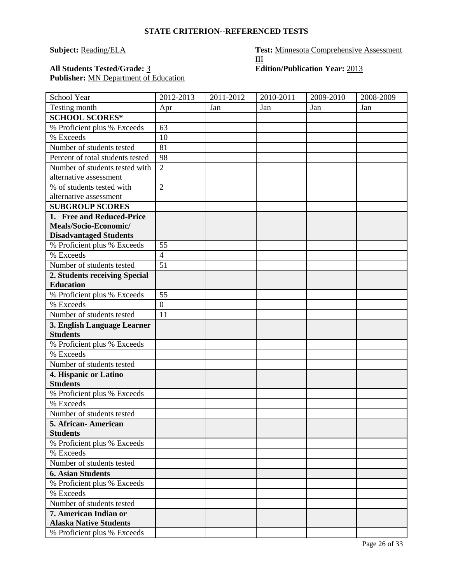| <b>STATE CRITERION--REFERENCED TESTS</b> |  |  |
|------------------------------------------|--|--|

# Publisher: **MN** Department of Education

| School Year                      | 2012-2013      | 2011-2012 | 2010-2011 | 2009-2010 | 2008-2009 |
|----------------------------------|----------------|-----------|-----------|-----------|-----------|
| Testing month                    | Apr            | Jan       | Jan       | Jan       | Jan       |
| <b>SCHOOL SCORES*</b>            |                |           |           |           |           |
| % Proficient plus % Exceeds      | 63             |           |           |           |           |
| % Exceeds                        | 10             |           |           |           |           |
| Number of students tested        | 81             |           |           |           |           |
| Percent of total students tested | 98             |           |           |           |           |
| Number of students tested with   | $\overline{2}$ |           |           |           |           |
| alternative assessment           |                |           |           |           |           |
| % of students tested with        | $\overline{2}$ |           |           |           |           |
| alternative assessment           |                |           |           |           |           |
| <b>SUBGROUP SCORES</b>           |                |           |           |           |           |
| 1. Free and Reduced-Price        |                |           |           |           |           |
| Meals/Socio-Economic/            |                |           |           |           |           |
| <b>Disadvantaged Students</b>    |                |           |           |           |           |
| % Proficient plus % Exceeds      | 55             |           |           |           |           |
| % Exceeds                        | $\overline{4}$ |           |           |           |           |
| Number of students tested        | 51             |           |           |           |           |
| 2. Students receiving Special    |                |           |           |           |           |
| <b>Education</b>                 |                |           |           |           |           |
| % Proficient plus % Exceeds      | 55             |           |           |           |           |
| % Exceeds                        | $\overline{0}$ |           |           |           |           |
| Number of students tested        | 11             |           |           |           |           |
| 3. English Language Learner      |                |           |           |           |           |
| <b>Students</b>                  |                |           |           |           |           |
| % Proficient plus % Exceeds      |                |           |           |           |           |
| % Exceeds                        |                |           |           |           |           |
| Number of students tested        |                |           |           |           |           |
| 4. Hispanic or Latino            |                |           |           |           |           |
| <b>Students</b>                  |                |           |           |           |           |
| % Proficient plus % Exceeds      |                |           |           |           |           |
| % Exceeds                        |                |           |           |           |           |
| Number of students tested        |                |           |           |           |           |
| 5. African- American             |                |           |           |           |           |
| <b>Students</b>                  |                |           |           |           |           |
| % Proficient plus % Exceeds      |                |           |           |           |           |
| % Exceeds                        |                |           |           |           |           |
| Number of students tested        |                |           |           |           |           |
| <b>6. Asian Students</b>         |                |           |           |           |           |
| % Proficient plus % Exceeds      |                |           |           |           |           |
| % Exceeds                        |                |           |           |           |           |
| Number of students tested        |                |           |           |           |           |
| 7. American Indian or            |                |           |           |           |           |
| <b>Alaska Native Students</b>    |                |           |           |           |           |
| % Proficient plus % Exceeds      |                |           |           |           |           |

**Subject:** Reading/ELA **Test:** Minnesota Comprehensive Assessment III **All Students Tested/Grade:** 3 **Edition/Publication Year:** 2013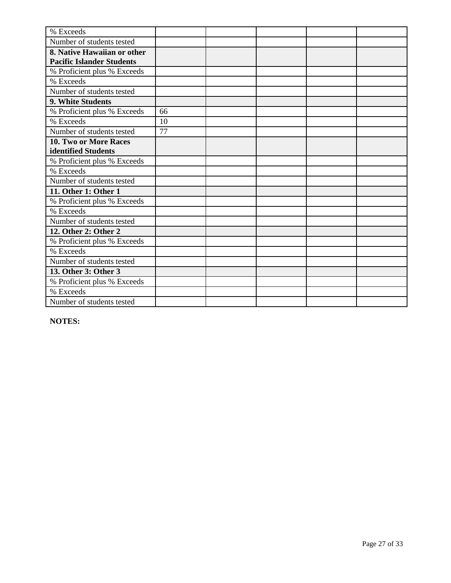| % Exceeds                        |    |  |  |
|----------------------------------|----|--|--|
| Number of students tested        |    |  |  |
| 8. Native Hawaiian or other      |    |  |  |
| <b>Pacific Islander Students</b> |    |  |  |
| % Proficient plus % Exceeds      |    |  |  |
| % Exceeds                        |    |  |  |
| Number of students tested        |    |  |  |
| 9. White Students                |    |  |  |
| % Proficient plus % Exceeds      | 66 |  |  |
| % Exceeds                        | 10 |  |  |
| Number of students tested        | 77 |  |  |
| <b>10. Two or More Races</b>     |    |  |  |
| identified Students              |    |  |  |
| % Proficient plus % Exceeds      |    |  |  |
| % Exceeds                        |    |  |  |
| Number of students tested        |    |  |  |
| 11. Other 1: Other 1             |    |  |  |
| % Proficient plus % Exceeds      |    |  |  |
| % Exceeds                        |    |  |  |
| Number of students tested        |    |  |  |
| 12. Other 2: Other 2             |    |  |  |
| % Proficient plus % Exceeds      |    |  |  |
| % Exceeds                        |    |  |  |
| Number of students tested        |    |  |  |
| 13. Other 3: Other 3             |    |  |  |
| % Proficient plus % Exceeds      |    |  |  |
| % Exceeds                        |    |  |  |
| Number of students tested        |    |  |  |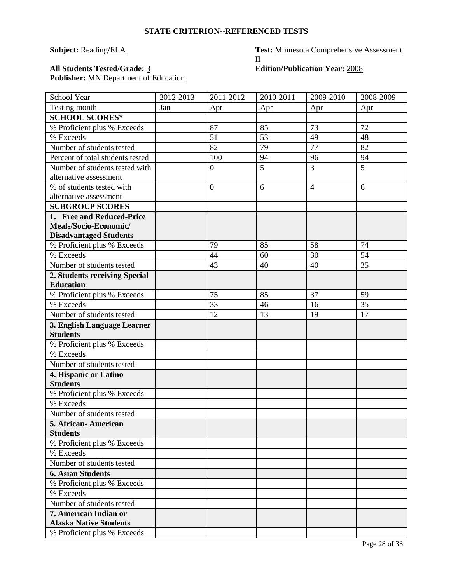# **Subject:** Reading/ELA **Test:** Minnesota Comprehensive Assessment  $\underline{\mathrm{II}}$

# All Students Tested/Grade: 3 **Edition/Publication Year:** 2008 Publisher: **MN** Department of Education

| School Year                      | 2012-2013 | 2011-2012        | 2010-2011 | 2009-2010      | 2008-2009 |
|----------------------------------|-----------|------------------|-----------|----------------|-----------|
| Testing month                    | Jan       | Apr              | Apr       | Apr            | Apr       |
| <b>SCHOOL SCORES*</b>            |           |                  |           |                |           |
| % Proficient plus % Exceeds      |           | 87               | 85        | 73             | 72        |
| % Exceeds                        |           | 51               | 53        | 49             | 48        |
| Number of students tested        |           | 82               | 79        | 77             | 82        |
| Percent of total students tested |           | 100              | 94        | 96             | 94        |
| Number of students tested with   |           | $\boldsymbol{0}$ | 5         | 3              | 5         |
| alternative assessment           |           |                  |           |                |           |
| % of students tested with        |           | $\overline{0}$   | 6         | $\overline{4}$ | 6         |
| alternative assessment           |           |                  |           |                |           |
| <b>SUBGROUP SCORES</b>           |           |                  |           |                |           |
| 1. Free and Reduced-Price        |           |                  |           |                |           |
| Meals/Socio-Economic/            |           |                  |           |                |           |
| <b>Disadvantaged Students</b>    |           |                  |           |                |           |
| % Proficient plus % Exceeds      |           | 79               | 85        | 58             | 74        |
| % Exceeds                        |           | 44               | 60        | 30             | 54        |
| Number of students tested        |           | 43               | 40        | 40             | 35        |
| 2. Students receiving Special    |           |                  |           |                |           |
| <b>Education</b>                 |           |                  |           |                |           |
| % Proficient plus % Exceeds      |           | 75               | 85        | 37             | 59        |
| % Exceeds                        |           | 33               | 46        | 16             | 35        |
| Number of students tested        |           | 12               | 13        | 19             | 17        |
| 3. English Language Learner      |           |                  |           |                |           |
| <b>Students</b>                  |           |                  |           |                |           |
| % Proficient plus % Exceeds      |           |                  |           |                |           |
| % Exceeds                        |           |                  |           |                |           |
| Number of students tested        |           |                  |           |                |           |
| 4. Hispanic or Latino            |           |                  |           |                |           |
| <b>Students</b>                  |           |                  |           |                |           |
| % Proficient plus % Exceeds      |           |                  |           |                |           |
| % Exceeds                        |           |                  |           |                |           |
| Number of students tested        |           |                  |           |                |           |
| 5. African- American             |           |                  |           |                |           |
| <b>Students</b>                  |           |                  |           |                |           |
| % Proficient plus % Exceeds      |           |                  |           |                |           |
| % Exceeds                        |           |                  |           |                |           |
| Number of students tested        |           |                  |           |                |           |
| <b>6. Asian Students</b>         |           |                  |           |                |           |
| % Proficient plus % Exceeds      |           |                  |           |                |           |
| % Exceeds                        |           |                  |           |                |           |
| Number of students tested        |           |                  |           |                |           |
| 7. American Indian or            |           |                  |           |                |           |
| <b>Alaska Native Students</b>    |           |                  |           |                |           |
| % Proficient plus % Exceeds      |           |                  |           |                |           |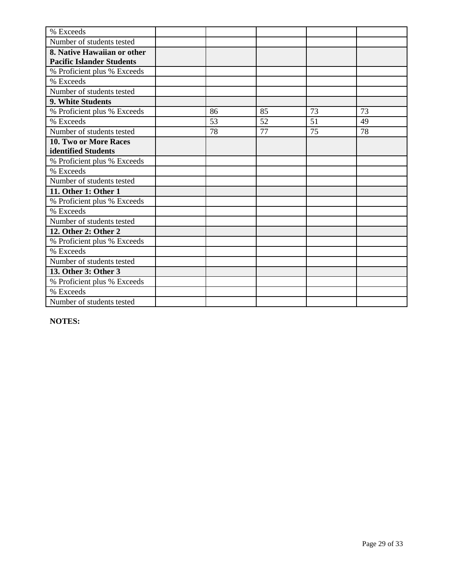| % Exceeds                        |    |    |    |    |
|----------------------------------|----|----|----|----|
| Number of students tested        |    |    |    |    |
| 8. Native Hawaiian or other      |    |    |    |    |
| <b>Pacific Islander Students</b> |    |    |    |    |
| % Proficient plus % Exceeds      |    |    |    |    |
| % Exceeds                        |    |    |    |    |
| Number of students tested        |    |    |    |    |
| <b>9. White Students</b>         |    |    |    |    |
| % Proficient plus % Exceeds      | 86 | 85 | 73 | 73 |
| % Exceeds                        | 53 | 52 | 51 | 49 |
| Number of students tested        | 78 | 77 | 75 | 78 |
| <b>10. Two or More Races</b>     |    |    |    |    |
| identified Students              |    |    |    |    |
| % Proficient plus % Exceeds      |    |    |    |    |
| % Exceeds                        |    |    |    |    |
| Number of students tested        |    |    |    |    |
| 11. Other 1: Other 1             |    |    |    |    |
| % Proficient plus % Exceeds      |    |    |    |    |
| % Exceeds                        |    |    |    |    |
| Number of students tested        |    |    |    |    |
| 12. Other 2: Other 2             |    |    |    |    |
| % Proficient plus % Exceeds      |    |    |    |    |
| % Exceeds                        |    |    |    |    |
| Number of students tested        |    |    |    |    |
| 13. Other 3: Other 3             |    |    |    |    |
| % Proficient plus % Exceeds      |    |    |    |    |
| % Exceeds                        |    |    |    |    |
| Number of students tested        |    |    |    |    |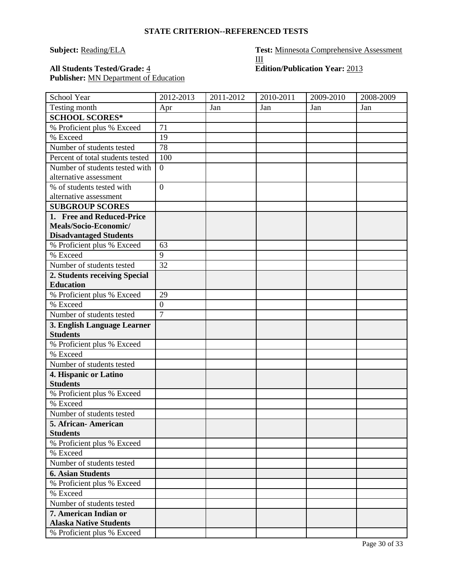**STATE CRITERION--REFERENCED TESTS**

# **Subject:** Reading/ELA **Test:** Minnesota Comprehensive Assessment III All Students Tested/Grade:  $\frac{4}{5}$  **Edition/Publication Year:** 2013

Publisher: **MN** Department of Education

| School Year                                            | 2012-2013        | 2011-2012 | 2010-2011 | 2009-2010 | 2008-2009 |
|--------------------------------------------------------|------------------|-----------|-----------|-----------|-----------|
| Testing month                                          | Apr              | Jan       | Jan       | Jan       | Jan       |
| <b>SCHOOL SCORES*</b>                                  |                  |           |           |           |           |
| % Proficient plus % Exceed                             | 71               |           |           |           |           |
| % Exceed                                               | 19               |           |           |           |           |
| Number of students tested                              | 78               |           |           |           |           |
| Percent of total students tested                       | 100              |           |           |           |           |
| Number of students tested with                         | $\overline{0}$   |           |           |           |           |
| alternative assessment                                 |                  |           |           |           |           |
| % of students tested with                              | $\overline{0}$   |           |           |           |           |
| alternative assessment                                 |                  |           |           |           |           |
| <b>SUBGROUP SCORES</b>                                 |                  |           |           |           |           |
| 1. Free and Reduced-Price                              |                  |           |           |           |           |
| Meals/Socio-Economic/                                  |                  |           |           |           |           |
| <b>Disadvantaged Students</b>                          |                  |           |           |           |           |
| % Proficient plus % Exceed                             | 63               |           |           |           |           |
| % Exceed                                               | $\overline{9}$   |           |           |           |           |
| Number of students tested                              | 32               |           |           |           |           |
| 2. Students receiving Special                          |                  |           |           |           |           |
| <b>Education</b>                                       |                  |           |           |           |           |
| % Proficient plus % Exceed                             | 29               |           |           |           |           |
| % Exceed                                               | $\boldsymbol{0}$ |           |           |           |           |
| Number of students tested                              | $\overline{7}$   |           |           |           |           |
| 3. English Language Learner                            |                  |           |           |           |           |
| <b>Students</b>                                        |                  |           |           |           |           |
| % Proficient plus % Exceed                             |                  |           |           |           |           |
| % Exceed                                               |                  |           |           |           |           |
| Number of students tested                              |                  |           |           |           |           |
| 4. Hispanic or Latino                                  |                  |           |           |           |           |
| <b>Students</b>                                        |                  |           |           |           |           |
| % Proficient plus % Exceed                             |                  |           |           |           |           |
| % Exceed                                               |                  |           |           |           |           |
| Number of students tested                              |                  |           |           |           |           |
| 5. African-American                                    |                  |           |           |           |           |
| <b>Students</b>                                        |                  |           |           |           |           |
| % Proficient plus % Exceed                             |                  |           |           |           |           |
| % Exceed                                               |                  |           |           |           |           |
| Number of students tested                              |                  |           |           |           |           |
| <b>6. Asian Students</b>                               |                  |           |           |           |           |
| % Proficient plus % Exceed                             |                  |           |           |           |           |
| % Exceed                                               |                  |           |           |           |           |
| Number of students tested                              |                  |           |           |           |           |
| 7. American Indian or<br><b>Alaska Native Students</b> |                  |           |           |           |           |
| % Proficient plus % Exceed                             |                  |           |           |           |           |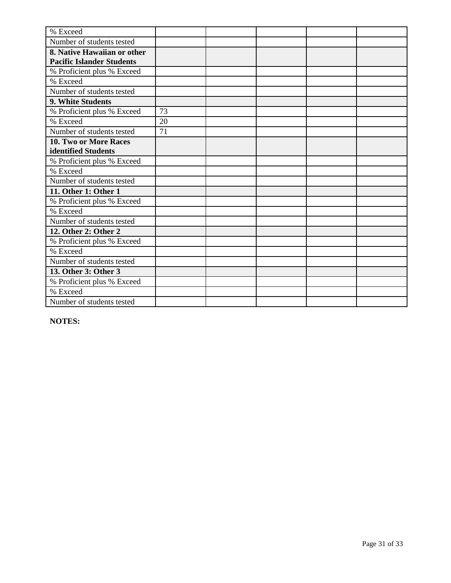| % Exceed                         |    |  |  |
|----------------------------------|----|--|--|
| Number of students tested        |    |  |  |
| 8. Native Hawaiian or other      |    |  |  |
| <b>Pacific Islander Students</b> |    |  |  |
| % Proficient plus % Exceed       |    |  |  |
| % Exceed                         |    |  |  |
| Number of students tested        |    |  |  |
| 9. White Students                |    |  |  |
| % Proficient plus % Exceed       | 73 |  |  |
| % Exceed                         | 20 |  |  |
| Number of students tested        | 71 |  |  |
| <b>10. Two or More Races</b>     |    |  |  |
| identified Students              |    |  |  |
| % Proficient plus % Exceed       |    |  |  |
| % Exceed                         |    |  |  |
| Number of students tested        |    |  |  |
| 11. Other 1: Other 1             |    |  |  |
| % Proficient plus % Exceed       |    |  |  |
| % Exceed                         |    |  |  |
| Number of students tested        |    |  |  |
| 12. Other 2: Other 2             |    |  |  |
| % Proficient plus % Exceed       |    |  |  |
| % Exceed                         |    |  |  |
| Number of students tested        |    |  |  |
| 13. Other 3: Other 3             |    |  |  |
| % Proficient plus % Exceed       |    |  |  |
| % Exceed                         |    |  |  |
| Number of students tested        |    |  |  |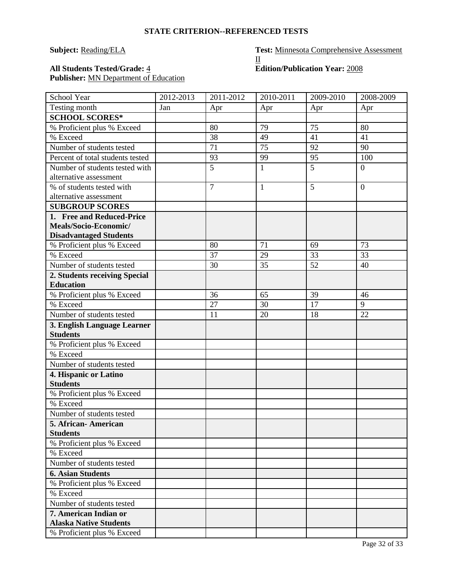| <b>STATE CRITERION--REFERENCED TESTS</b> |  |
|------------------------------------------|--|

# **Subject:** Reading/ELA **Test:** Minnesota Comprehensive Assessment  $\underline{\mathrm{II}}$

# All Students Tested/Grade: <u>4</u> **Edition/Publication Year:** 2008 Publisher: **MN** Department of Education

| Testing month<br>Jan<br>Apr<br>Apr<br>Apr<br>Apr<br><b>SCHOOL SCORES*</b><br>79<br>75<br>80<br>% Proficient plus % Exceed<br>80<br>% Exceed<br>38<br>41<br>49<br>41<br>Number of students tested<br>71<br>75<br>92<br>90<br>95<br>93<br>99<br>Percent of total students tested<br>100<br>5<br>5<br>Number of students tested with<br>$\mathbf{1}$<br>$\overline{0}$<br>alternative assessment<br>% of students tested with<br>$\overline{7}$<br>5<br>1<br>$\overline{0}$<br>alternative assessment<br><b>SUBGROUP SCORES</b><br>1. Free and Reduced-Price<br>Meals/Socio-Economic/<br><b>Disadvantaged Students</b><br>71<br>% Proficient plus % Exceed<br>80<br>73<br>69<br>33<br>37<br>29<br>% Exceed<br>33<br>35<br>52<br>Number of students tested<br>30<br>40<br>2. Students receiving Special<br><b>Education</b><br>36<br>% Proficient plus % Exceed<br>65<br>39<br>46<br>% Exceed<br>27<br>30<br>17<br>9<br>Number of students tested<br>11<br>20<br>18<br>22<br>3. English Language Learner<br><b>Students</b><br>% Proficient plus % Exceed<br>% Exceed<br>Number of students tested<br>4. Hispanic or Latino<br><b>Students</b><br>% Proficient plus % Exceed<br>% Exceed<br>Number of students tested<br>5. African-American<br><b>Students</b><br>% Proficient plus % Exceed<br>% Exceed<br>Number of students tested<br><b>6. Asian Students</b><br>% Proficient plus % Exceed<br>% Exceed<br>Number of students tested<br>7. American Indian or<br><b>Alaska Native Students</b><br>% Proficient plus % Exceed | School Year | 2012-2013 | 2011-2012 | 2010-2011 | 2009-2010 | 2008-2009 |
|-------------------------------------------------------------------------------------------------------------------------------------------------------------------------------------------------------------------------------------------------------------------------------------------------------------------------------------------------------------------------------------------------------------------------------------------------------------------------------------------------------------------------------------------------------------------------------------------------------------------------------------------------------------------------------------------------------------------------------------------------------------------------------------------------------------------------------------------------------------------------------------------------------------------------------------------------------------------------------------------------------------------------------------------------------------------------------------------------------------------------------------------------------------------------------------------------------------------------------------------------------------------------------------------------------------------------------------------------------------------------------------------------------------------------------------------------------------------------------------------------------------------------------|-------------|-----------|-----------|-----------|-----------|-----------|
|                                                                                                                                                                                                                                                                                                                                                                                                                                                                                                                                                                                                                                                                                                                                                                                                                                                                                                                                                                                                                                                                                                                                                                                                                                                                                                                                                                                                                                                                                                                               |             |           |           |           |           |           |
|                                                                                                                                                                                                                                                                                                                                                                                                                                                                                                                                                                                                                                                                                                                                                                                                                                                                                                                                                                                                                                                                                                                                                                                                                                                                                                                                                                                                                                                                                                                               |             |           |           |           |           |           |
|                                                                                                                                                                                                                                                                                                                                                                                                                                                                                                                                                                                                                                                                                                                                                                                                                                                                                                                                                                                                                                                                                                                                                                                                                                                                                                                                                                                                                                                                                                                               |             |           |           |           |           |           |
|                                                                                                                                                                                                                                                                                                                                                                                                                                                                                                                                                                                                                                                                                                                                                                                                                                                                                                                                                                                                                                                                                                                                                                                                                                                                                                                                                                                                                                                                                                                               |             |           |           |           |           |           |
|                                                                                                                                                                                                                                                                                                                                                                                                                                                                                                                                                                                                                                                                                                                                                                                                                                                                                                                                                                                                                                                                                                                                                                                                                                                                                                                                                                                                                                                                                                                               |             |           |           |           |           |           |
|                                                                                                                                                                                                                                                                                                                                                                                                                                                                                                                                                                                                                                                                                                                                                                                                                                                                                                                                                                                                                                                                                                                                                                                                                                                                                                                                                                                                                                                                                                                               |             |           |           |           |           |           |
|                                                                                                                                                                                                                                                                                                                                                                                                                                                                                                                                                                                                                                                                                                                                                                                                                                                                                                                                                                                                                                                                                                                                                                                                                                                                                                                                                                                                                                                                                                                               |             |           |           |           |           |           |
|                                                                                                                                                                                                                                                                                                                                                                                                                                                                                                                                                                                                                                                                                                                                                                                                                                                                                                                                                                                                                                                                                                                                                                                                                                                                                                                                                                                                                                                                                                                               |             |           |           |           |           |           |
|                                                                                                                                                                                                                                                                                                                                                                                                                                                                                                                                                                                                                                                                                                                                                                                                                                                                                                                                                                                                                                                                                                                                                                                                                                                                                                                                                                                                                                                                                                                               |             |           |           |           |           |           |
|                                                                                                                                                                                                                                                                                                                                                                                                                                                                                                                                                                                                                                                                                                                                                                                                                                                                                                                                                                                                                                                                                                                                                                                                                                                                                                                                                                                                                                                                                                                               |             |           |           |           |           |           |
|                                                                                                                                                                                                                                                                                                                                                                                                                                                                                                                                                                                                                                                                                                                                                                                                                                                                                                                                                                                                                                                                                                                                                                                                                                                                                                                                                                                                                                                                                                                               |             |           |           |           |           |           |
|                                                                                                                                                                                                                                                                                                                                                                                                                                                                                                                                                                                                                                                                                                                                                                                                                                                                                                                                                                                                                                                                                                                                                                                                                                                                                                                                                                                                                                                                                                                               |             |           |           |           |           |           |
|                                                                                                                                                                                                                                                                                                                                                                                                                                                                                                                                                                                                                                                                                                                                                                                                                                                                                                                                                                                                                                                                                                                                                                                                                                                                                                                                                                                                                                                                                                                               |             |           |           |           |           |           |
|                                                                                                                                                                                                                                                                                                                                                                                                                                                                                                                                                                                                                                                                                                                                                                                                                                                                                                                                                                                                                                                                                                                                                                                                                                                                                                                                                                                                                                                                                                                               |             |           |           |           |           |           |
|                                                                                                                                                                                                                                                                                                                                                                                                                                                                                                                                                                                                                                                                                                                                                                                                                                                                                                                                                                                                                                                                                                                                                                                                                                                                                                                                                                                                                                                                                                                               |             |           |           |           |           |           |
|                                                                                                                                                                                                                                                                                                                                                                                                                                                                                                                                                                                                                                                                                                                                                                                                                                                                                                                                                                                                                                                                                                                                                                                                                                                                                                                                                                                                                                                                                                                               |             |           |           |           |           |           |
|                                                                                                                                                                                                                                                                                                                                                                                                                                                                                                                                                                                                                                                                                                                                                                                                                                                                                                                                                                                                                                                                                                                                                                                                                                                                                                                                                                                                                                                                                                                               |             |           |           |           |           |           |
|                                                                                                                                                                                                                                                                                                                                                                                                                                                                                                                                                                                                                                                                                                                                                                                                                                                                                                                                                                                                                                                                                                                                                                                                                                                                                                                                                                                                                                                                                                                               |             |           |           |           |           |           |
|                                                                                                                                                                                                                                                                                                                                                                                                                                                                                                                                                                                                                                                                                                                                                                                                                                                                                                                                                                                                                                                                                                                                                                                                                                                                                                                                                                                                                                                                                                                               |             |           |           |           |           |           |
|                                                                                                                                                                                                                                                                                                                                                                                                                                                                                                                                                                                                                                                                                                                                                                                                                                                                                                                                                                                                                                                                                                                                                                                                                                                                                                                                                                                                                                                                                                                               |             |           |           |           |           |           |
|                                                                                                                                                                                                                                                                                                                                                                                                                                                                                                                                                                                                                                                                                                                                                                                                                                                                                                                                                                                                                                                                                                                                                                                                                                                                                                                                                                                                                                                                                                                               |             |           |           |           |           |           |
|                                                                                                                                                                                                                                                                                                                                                                                                                                                                                                                                                                                                                                                                                                                                                                                                                                                                                                                                                                                                                                                                                                                                                                                                                                                                                                                                                                                                                                                                                                                               |             |           |           |           |           |           |
|                                                                                                                                                                                                                                                                                                                                                                                                                                                                                                                                                                                                                                                                                                                                                                                                                                                                                                                                                                                                                                                                                                                                                                                                                                                                                                                                                                                                                                                                                                                               |             |           |           |           |           |           |
|                                                                                                                                                                                                                                                                                                                                                                                                                                                                                                                                                                                                                                                                                                                                                                                                                                                                                                                                                                                                                                                                                                                                                                                                                                                                                                                                                                                                                                                                                                                               |             |           |           |           |           |           |
|                                                                                                                                                                                                                                                                                                                                                                                                                                                                                                                                                                                                                                                                                                                                                                                                                                                                                                                                                                                                                                                                                                                                                                                                                                                                                                                                                                                                                                                                                                                               |             |           |           |           |           |           |
|                                                                                                                                                                                                                                                                                                                                                                                                                                                                                                                                                                                                                                                                                                                                                                                                                                                                                                                                                                                                                                                                                                                                                                                                                                                                                                                                                                                                                                                                                                                               |             |           |           |           |           |           |
|                                                                                                                                                                                                                                                                                                                                                                                                                                                                                                                                                                                                                                                                                                                                                                                                                                                                                                                                                                                                                                                                                                                                                                                                                                                                                                                                                                                                                                                                                                                               |             |           |           |           |           |           |
|                                                                                                                                                                                                                                                                                                                                                                                                                                                                                                                                                                                                                                                                                                                                                                                                                                                                                                                                                                                                                                                                                                                                                                                                                                                                                                                                                                                                                                                                                                                               |             |           |           |           |           |           |
|                                                                                                                                                                                                                                                                                                                                                                                                                                                                                                                                                                                                                                                                                                                                                                                                                                                                                                                                                                                                                                                                                                                                                                                                                                                                                                                                                                                                                                                                                                                               |             |           |           |           |           |           |
|                                                                                                                                                                                                                                                                                                                                                                                                                                                                                                                                                                                                                                                                                                                                                                                                                                                                                                                                                                                                                                                                                                                                                                                                                                                                                                                                                                                                                                                                                                                               |             |           |           |           |           |           |
|                                                                                                                                                                                                                                                                                                                                                                                                                                                                                                                                                                                                                                                                                                                                                                                                                                                                                                                                                                                                                                                                                                                                                                                                                                                                                                                                                                                                                                                                                                                               |             |           |           |           |           |           |
|                                                                                                                                                                                                                                                                                                                                                                                                                                                                                                                                                                                                                                                                                                                                                                                                                                                                                                                                                                                                                                                                                                                                                                                                                                                                                                                                                                                                                                                                                                                               |             |           |           |           |           |           |
|                                                                                                                                                                                                                                                                                                                                                                                                                                                                                                                                                                                                                                                                                                                                                                                                                                                                                                                                                                                                                                                                                                                                                                                                                                                                                                                                                                                                                                                                                                                               |             |           |           |           |           |           |
|                                                                                                                                                                                                                                                                                                                                                                                                                                                                                                                                                                                                                                                                                                                                                                                                                                                                                                                                                                                                                                                                                                                                                                                                                                                                                                                                                                                                                                                                                                                               |             |           |           |           |           |           |
|                                                                                                                                                                                                                                                                                                                                                                                                                                                                                                                                                                                                                                                                                                                                                                                                                                                                                                                                                                                                                                                                                                                                                                                                                                                                                                                                                                                                                                                                                                                               |             |           |           |           |           |           |
|                                                                                                                                                                                                                                                                                                                                                                                                                                                                                                                                                                                                                                                                                                                                                                                                                                                                                                                                                                                                                                                                                                                                                                                                                                                                                                                                                                                                                                                                                                                               |             |           |           |           |           |           |
|                                                                                                                                                                                                                                                                                                                                                                                                                                                                                                                                                                                                                                                                                                                                                                                                                                                                                                                                                                                                                                                                                                                                                                                                                                                                                                                                                                                                                                                                                                                               |             |           |           |           |           |           |
|                                                                                                                                                                                                                                                                                                                                                                                                                                                                                                                                                                                                                                                                                                                                                                                                                                                                                                                                                                                                                                                                                                                                                                                                                                                                                                                                                                                                                                                                                                                               |             |           |           |           |           |           |
|                                                                                                                                                                                                                                                                                                                                                                                                                                                                                                                                                                                                                                                                                                                                                                                                                                                                                                                                                                                                                                                                                                                                                                                                                                                                                                                                                                                                                                                                                                                               |             |           |           |           |           |           |
|                                                                                                                                                                                                                                                                                                                                                                                                                                                                                                                                                                                                                                                                                                                                                                                                                                                                                                                                                                                                                                                                                                                                                                                                                                                                                                                                                                                                                                                                                                                               |             |           |           |           |           |           |
|                                                                                                                                                                                                                                                                                                                                                                                                                                                                                                                                                                                                                                                                                                                                                                                                                                                                                                                                                                                                                                                                                                                                                                                                                                                                                                                                                                                                                                                                                                                               |             |           |           |           |           |           |
|                                                                                                                                                                                                                                                                                                                                                                                                                                                                                                                                                                                                                                                                                                                                                                                                                                                                                                                                                                                                                                                                                                                                                                                                                                                                                                                                                                                                                                                                                                                               |             |           |           |           |           |           |
|                                                                                                                                                                                                                                                                                                                                                                                                                                                                                                                                                                                                                                                                                                                                                                                                                                                                                                                                                                                                                                                                                                                                                                                                                                                                                                                                                                                                                                                                                                                               |             |           |           |           |           |           |